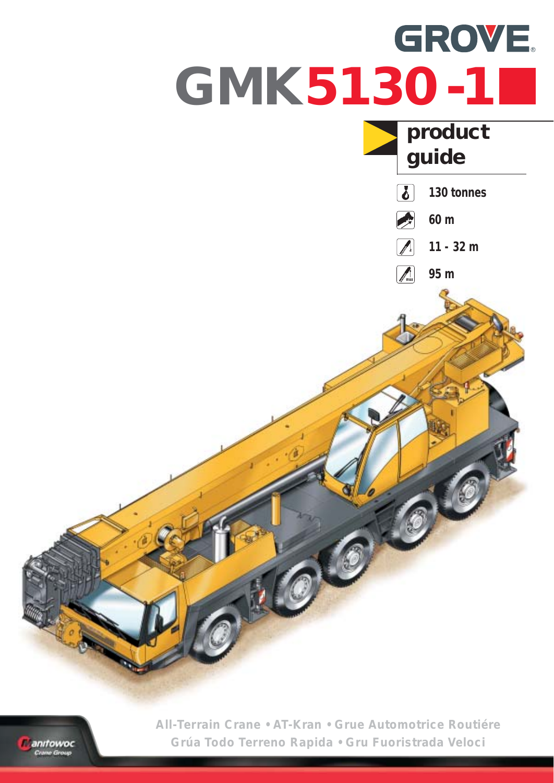



**All-Terrain Crane • AT-Kran • Grue Automotrice Routiére Grúa Todo Terreno Rapida • Gru Fuoristrada Veloci**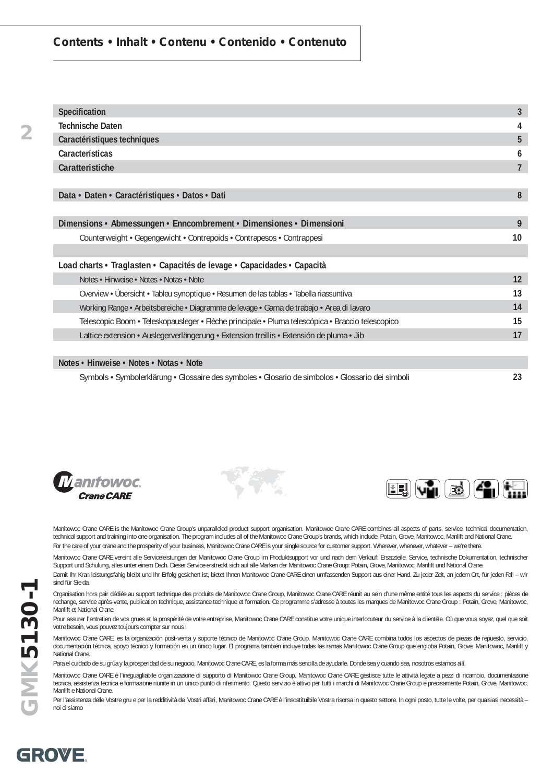#### **Contents • Inhalt • Contenu • Contenido • Contenuto**

| Specification                                                                                    | 3  |
|--------------------------------------------------------------------------------------------------|----|
| <b>Technische Daten</b>                                                                          | 4  |
| Caractéristiques techniques                                                                      | 5  |
| Características                                                                                  | 6  |
| Caratteristiche                                                                                  | 7  |
|                                                                                                  |    |
| Data • Daten • Caractéristiques • Datos • Dati                                                   | 8  |
|                                                                                                  |    |
| Dimensions • Abmessungen • Enncombrement • Dimensiones • Dimensioni                              | 9  |
| Counterweight • Gegengewicht • Contrepoids • Contrapesos • Contrappesi                           | 10 |
|                                                                                                  |    |
| Load charts • Traglasten • Capacités de levage • Capacidades • Capacità                          |    |
| Notes • Hinweise • Notes • Notas • Note                                                          | 12 |
| Overview • Übersicht • Tableu synoptique • Resumen de las tablas • Tabella riassuntiva           | 13 |
| Working Range • Arbeitsbereiche • Diagramme de levage • Gama de trabajo • Area di lavaro         | 14 |
| Telescopic Boom · Teleskopausleger · Flèche principale · Pluma telescópica · Braccio telescopico | 15 |
| Lattice extension • Auslegerverlängerung • Extension treillis • Extensión de pluma • Jib         | 17 |
|                                                                                                  |    |
| Notes • Hinweise • Notes • Notas • Note                                                          |    |

Symbols • Symbolerklärung • Glossaire des symboles • Glosario de simbolos • Glossario dei simboli **23**







Manitowoc Crane CARE is the Manitowoc Crane Group's unparalleled product support organisation. Manitowoc Crane CARE combines all aspects of parts, service, technical documentation, technical support and training into one organisation. The program includes all of the Manitowoc Crane Group's brands, which include, Potain, Grove, Manitowoc, Manlift and National Crane. For the care of your crane and the prosperity of your business, Manitowoc Crane CARE is your single source for customer support. Wherever, whenever, whatever - we're there.

Manitowoc Crane CARE vereint alle Serviceleistungen der Manitowoc Crane Group im Produktsupport vor und nach dem Verkauf: Ersatzteile, Service, technische Dokumentation, technischer Support und Schulung, alles unter einem Dach. Dieser Service erstreckt sich auf alle Marken der Manitowoc Crane Group: Potain, Grove, Manitowoc, Manlift und National Crane. Damit Ihr Kran leistungsfähig bleibt und Ihr Erfolg gesichert ist, bietet Ihnen Manitowoc Crane CARE einen umfassenden Support aus einer Hand. Zu jeder Zeit, an jedem Ort, für jeden Fall – wir

sind für Sie da.

Organisation hors pair dédiée au support technique des produits de Manitowoc Crane Group, Manitowoc Crane CARE réunit au sein d'une même entité tous les aspects du service : pièces de rechange, service après-vente, publication technique, assistance technique et formation. Ce programme s'adresse à toutes les marques de Manitowoc Crane Group : Potain, Grove, Manitowoc, Manlift et National Crane.

Pour assurer l'entretien de vos grues et la prospérité de votre entreprise, Manitowoc Crane CARE constitue votre unique interlocuteur du service à la clientèle. Où que vous soyez, quel que soit votre besoin, vous pouvez toujours compter sur nous !

Manitowoc Crane CARE, es la organización post-venta y soporte técnico de Manitowoc Crane Group. Manitowoc Crane CARE combina todos los aspectos de piezas de repuesto, servicio, documentación técnica, apoyo técnico y formación en un único lugar. El programa también incluye todas las ramas Manitowoc Crane Group que engloba Potain, Grove, Manitowoc, Manlift y National Crane.

Para el cuidado de su grúa y la prosperidad de su negocio, Manitowoc Crane CARE, es la forma más sencilla de ayudarle. Donde sea y cuando sea, nosotros estamos allí.

Manitowoc Crane CARE è l'ineguagliabile organizzazione di supporto di Manitowoc Crane Group. Manitowoc Crane CARE gestisce tutte le attività legate a pezzi di ricambio, documentazione tecnica, assistenza tecnica e formazione riunite in un unico punto di riferimento. Questo servizio è attivo per tutti i marchi di Manitowoc Crane Group e precisamente Potain, Grove, Manitowoc, Manlift e National Crane.

Per l'assistenza delle Vostre gru e per la redditività dei Vostri affari, Manitowoc Crane CARE è l'insostituibile Vostra risorsa in questo settore. In ogni posto, tutte le volte, per qualsiasi necessità – noi ci siamo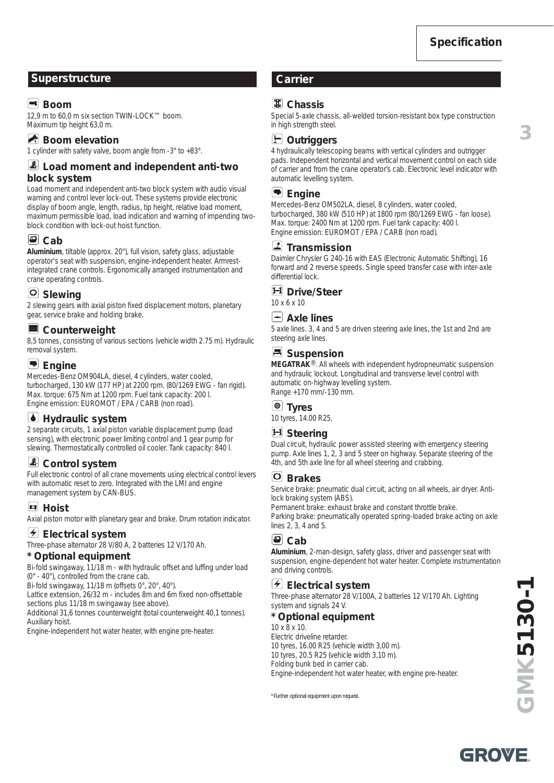**3**

### **Superstructure Carrier**

### **Ex** Boom

12,9 m to 60,0 m six section TWIN-LOCK™ boom. Maximum tip height 63,0 m.

### **Boom elevation**

1 cylinder with safety valve, boom angle from -3° to +83°.

#### **Load moment and independent anti-two block system**

Load moment and independent anti-two block system with audio visual warning and control lever lock-out. These systems provide electronic display of boom angle, length, radius, tip height, relative load moment, maximum permissible load, load indication and warning of impending twoblock condition with lock-out hoist function.

### $\Box$  Cab

**Aluminium**, tiltable (approx. 20°), full vision, safety glass, adjustable operator's seat with suspension, engine-independent heater. Armrestintegrated crane controls. Ergonomically arranged instrumentation and crane operating controls.

### **Slewing**

2 slewing gears with axial piston fixed displacement motors, planetary gear, service brake and holding brake.

#### **Counterweight**

8,5 tonnes, consisting of various sections (vehicle width 2.75 m). Hydraulic removal system.

### **Engine**

Mercedes-Benz OM904LA, diesel, 4 cylinders, water cooled, turbocharged, 130 kW (177 HP) at 2200 rpm. (80/1269 EWG - fan rigid). Max. torque: 675 Nm at 1200 rpm. Fuel tank capacity: 200 l. Engine emission: EUROMOT / EPA / CARB (non road).

### *M* Hydraulic system

2 separate circuits, 1 axial piston variable displacement pump (load sensing), with electronic power limiting control and 1 gear pump for slewing. Thermostatically controlled oil cooler. Tank capacity: 840 l.

### *Control system*

Full electronic control of all crane movements using electrical control levers with automatic reset to zero. Integrated with the LMI and engine management system by CAN-BUS.

### **Hoist**

Axial piston motor with planetary gear and brake. Drum rotation indicator.

#### **Electrical system**

Three-phase alternator 28 V/80 A, 2 batteries 12 V/170 Ah.

#### **\* Optional equipment**

Bi-fold swingaway, 11/18 m - with hydraulic offset and luffing under load (0° - 40°), controlled from the crane cab.

Bi-fold swingaway, 11/18 m (offsets 0°, 20°, 40°).

Lattice extension, 26/32 m - includes 8m and 6m fixed non-offsettable sections plus 11/18 m swingaway (see above).

Additional 31,6 tonnes counterweight (total counterweight 40,1 tonnes). Auxiliary hoist.

Engine-independent hot water heater, with engine pre-heater.

### **Chassis**

Special 5-axle chassis, all-welded torsion-resistant box type construction in high strength steel.

### **Outriggers**

4 hydraulically telescoping beams with vertical cylinders and outrigger pads. Independent horizontal and vertical movement control on each side of carrier and from the crane operator's cab. Electronic level indicator with automatic levelling system.

#### **Engine**

Mercedes-Benz OM502LA, diesel, 8 cylinders, water cooled, turbocharged, 380 kW (510 HP) at 1800 rpm (80/1269 EWG - fan loose). Max. torque: 2400 Nm at 1200 rpm. Fuel tank capacity: 400 l. Engine emission: EUROMOT / EPA / CARB (non road).

#### **Transmission**

Daimler Chrysler G 240-16 with EAS (Electronic Automatic Shifting), 16 forward and 2 reverse speeds. Single speed transfer case with inter-axle differential lock.

#### **Drive/Steer**

10 x 6 x 10

#### **Axle lines**

5 axle lines. 3, 4 and 5 are driven steering axle lines, the 1st and 2nd are steering axle lines.

### **B** Suspension

**MEGATRAK**®. All wheels with independent hydropneumatic suspension and hydraulic lockout. Longitudinal and transverse level control with automatic on-highway levelling system. Range +170 mm/-130 mm.

### **Tyres**

10 tyres, 14.00 R25.

### **E**ll Steering

Dual circuit, hydraulic power assisted steering with emergency steering pump. Axle lines 1, 2, 3 and 5 steer on highway. Separate steering of the 4th, and 5th axle line for all wheel steering and crabbing.

#### **Brakes**

Service brake: pneumatic dual circuit, acting on all wheels, air dryer. Antilock braking system (ABS).

Permanent brake: exhaust brake and constant throttle brake. Parking brake: pneumatically operated spring-loaded brake acting on axle lines 2, 3, 4 and 5.

### **Cab**

**Aluminium**, 2-man-design, safety glass, driver and passenger seat with suspension, engine-dependent hot water heater. Complete instrumentation and driving controls.

#### **Electrical system**

Three-phase alternator 28 V/100A, 2 batteries 12 V/170 Ah. Lighting system and signals 24 V.

#### **\* Optional equipment**

10 x 8 x 10. Electric driveline retarder. 10 tyres, 16.00 R25 (vehicle width 3,00 m).

10 tyres, 20.5 R25 (vehicle width 3,10 m).

Folding bunk bed in carrier cab.

Engine-independent hot water heater, with engine pre-heater.

\*Further optional equipment upon request.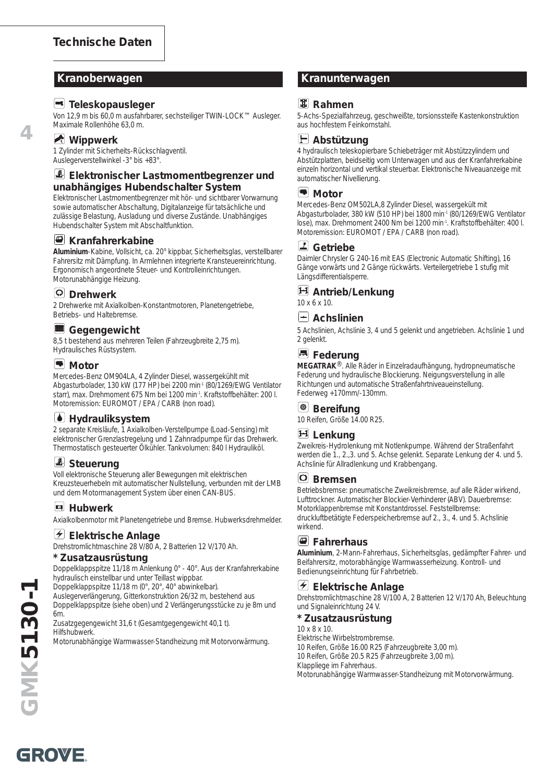#### **Teleskopausleger**

Von 12,9 m bis 60,0 m ausfahrbarer, sechsteiliger TWIN-LOCK™ Ausleger. Maximale Rollenhöhe 63,0 m.

#### **Mippwerk**

**4**

1 Zylinder mit Sicherheits-Rückschlagventil. Auslegerverstellwinkel -3° bis +83°.

#### **Elektronischer Lastmomentbegrenzer und unabhängiges Hubendschalter System**

Elektronischer Lastmomentbegrenzer mit hör- und sichtbarer Vorwarnung sowie automatischer Abschaltung, Digitalanzeige für tatsächliche und zulässige Belastung, Ausladung und diverse Zustände. Unabhängiges Hubendschalter System mit Abschaltfunktion.

#### **E** Kranfahrerkabine

**Aluminium**-Kabine, Vollsicht, ca. 20° kippbar, Sicherheitsglas, verstellbarer Fahrersitz mit Dämpfung. In Armlehnen integrierte Kransteuereinrichtung. Ergonomisch angeordnete Steuer- und Kontrolleinrichtungen. Motorunabhängige Heizung.

#### **Drehwerk**

2 Drehwerke mit Axialkolben-Konstantmotoren, Planetengetriebe, Betriebs- und Haltebremse.

#### E **Gegengewicht**

8,5 t bestehend aus mehreren Teilen (Fahrzeugbreite 2,75 m). Hydraulisches Rüstsystem.

#### **Motor**

Mercedes-Benz OM904LA, 4 Zylinder Diesel, wassergekühlt mit Abgasturbolader, 130 kW (177 HP) bei 2200 min-1 (80/1269/EWG Ventilator starr), max. Drehmoment 675 Nm bei 1200 min-1. Kraftstoffbehälter: 200 l. Motoremission: EUROMOT / EPA / CARB (non road).

### *M* Hydrauliksystem

2 separate Kreisläufe, 1 Axialkolben-Verstellpumpe (Load-Sensing) mit elektronischer Grenzlastregelung und 1 Zahnradpumpe für das Drehwerk. Thermostatisch gesteuerter Ölkühler. Tankvolumen: 840 l Hydrauliköl.

### *Steuerung*

Voll elektronische Steuerung aller Bewegungen mit elektrischen Kreuzsteuerhebeln mit automatischer Nullstellung, verbunden mit der LMB und dem Motormanagement System über einen CAN-BUS.

### **Hubwerk**

Axialkolbenmotor mit Planetengetriebe und Bremse. Hubwerksdrehmelder.

#### **Elektrische Anlage**

Drehstromlichtmaschine 28 V/80 A, 2 Batterien 12 V/170 Ah.

#### **\* Zusatzausrüstung**

Doppelklappspitze 11/18 m Anlenkung 0° - 40°. Aus der Kranfahrerkabine hydraulisch einstellbar und unter Teillast wippbar.

Doppelklappspitze 11/18 m (0°, 20°, 40° abwinkelbar).

Auslegerverlängerung, Gitterkonstruktion 26/32 m, bestehend aus Doppelklappspitze (siehe oben) und 2 Verlängerungsstücke zu je 8m und 6m.

Zusatzgegengewicht 31,6 t (Gesamtgegengewicht 40,1 t). Hilfshubwerk.

Motorunabhängige Warmwasser-Standheizung mit Motorvorwärmung.

### **Kranoberwagen Kranunterwagen**

### **图 Rahmen**

5-Achs-Spezialfahrzeug, geschweißte, torsionssteife Kastenkonstruktion aus hochfestem Feinkornstahl.



4 hydraulisch teleskopierbare Schiebeträger mit Abstützzylindern und Abstützplatten, beidseitig vom Unterwagen und aus der Kranfahrerkabine einzeln horizontal und vertikal steuerbar. Elektronische Niveauanzeige mit automatischer Nivellierung.

#### **Motor**

Mercedes-Benz OM502LA,8 Zylinder Diesel, wassergekült mit Abgasturbolader, 380 kW (510 HP) bei 1800 min-1 (80/1269/EWG Ventilator lose), max. Drehmoment 2400 Nm bei 1200 min-1. Kraftstoffbehälter: 400 l. Motoremission: EUROMOT / EPA / CARB (non road).

### **Getriebe**

Daimler Chrysler G 240-16 mit EAS (Electronic Automatic Shifting), 16 Gänge vorwärts und 2 Gänge rückwärts. Verteilergetriebe 1 stufig mit Längsdifferentialsperre.

#### **Antrieb/Lenkung** 10 x 6 x 10.

### **Achslinien**

5 Achslinien, Achslinie 3, 4 und 5 gelenkt und angetrieben. Achslinie 1 und 2 gelenkt.

### **E** Federung

**MEGATRAK**®. Alle Räder in Einzelradaufhängung, hydropneumatische Federung und hydraulische Blockierung. Neigungsverstellung in alle Richtungen und automatische Straßenfahrtniveaueinstellung. Federweg +170mm/-130mm.

### **Bereifung**

10 Reifen, Größe 14.00 R25.

### **Lenkung**

Zweikreis-Hydrolenkung mit Notlenkpumpe. Während der Straßenfahrt werden die 1., 2.,3. und 5. Achse gelenkt. Separate Lenkung der 4. und 5. Achslinie für Allradlenkung und Krabbengang.

#### **Bremsen**

Betriebsbremse: pneumatische Zweikreisbremse, auf alle Räder wirkend, Lufttrockner. Automatischer Blockier-Verhinderer (ABV). Dauerbremse: Motorklappenbremse mit Konstantdrossel. Feststellbremse: druckluftbetätigte Federspeicherbremse auf 2., 3., 4. und 5. Achslinie wirkend.

### **Fahrerhaus**

**Aluminium**, 2-Mann-Fahrerhaus, Sicherheitsglas, gedämpfter Fahrer- und Beifahrersitz, motorabhängige Warmwasserheizung. Kontroll- und Bedienungseinrichtung für Fahrbetrieb.

#### **Elektrische Anlage**

Drehstromlichtmaschine 28 V/100 A, 2 Batterien 12 V/170 Ah, Beleuchtung und Signaleinrichtung 24 V.

#### **\* Zusatzausrüstung**

10 x 8 x 10.

Elektrische Wirbelstrombremse. 10 Reifen, Größe 16.00 R25 (Fahrzeugbreite 3,00 m).

10 Reifen, Größe 20.5 R25 (Fahrzeugbreite 3,00 m).

Klappliege im Fahrerhaus.

Motorunabhängige Warmwasser-Standheizung mit Motorvorwärmung.

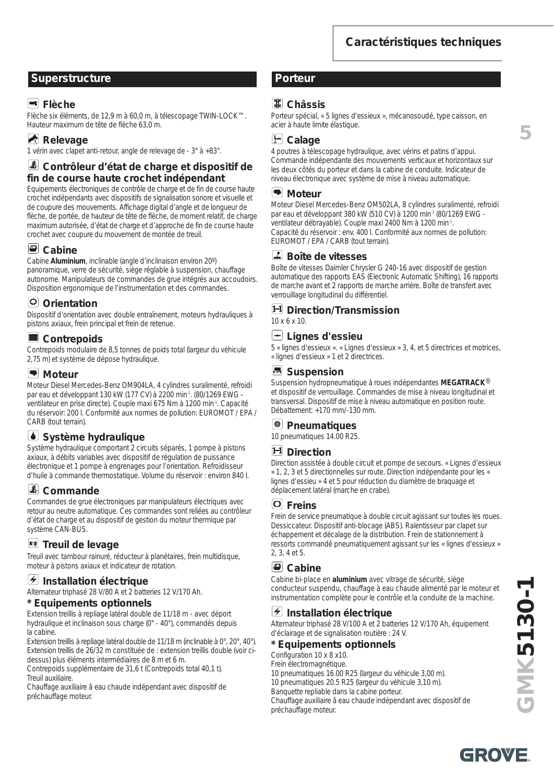### **Superstructure Porteur**

### **Flèche**

Flèche six éléments, de 12,9 m à 60,0 m, à télescopage TWIN-LOCK™. Hauteur maximum de tête de flèche 63,0 m.

## **Relevage**

1 vérin avec clapet anti-retour, angle de relevage de - 3° à +83°.

### **Contrôleur d'état de charge et dispositif de fin de course haute crochet indépendant**

Equipements électroniques de contrôle de charge et de fin de course haute crochet indépendants avec dispositifs de signalisation sonore et visuelle et de coupure des mouvements. Affichage digital d'angle et de longueur de flèche, de portée, de hauteur de tête de flèche, de moment relatif, de charge maximum autorisée, d'état de charge et d'approche de fin de course haute crochet avec coupure du mouvement de montée de treuil.

### **Cabine**

Cabine **Aluminium**, inclinable (angle d'inclinaison environ 20º) panoramique, verre de sécurité, siège réglable à suspension, chauffage autonome. Manipulateurs de commandes de grue intégrés aux accoudoirs. Disposition ergonomique de l'instrumentation et des commandes.

### **Orientation**

Dispositif d'orientation avec double entraînement, moteurs hydrauliques à pistons axiaux, frein principal et frein de retenue.

### **Contrepoids**

Contrepoids modulaire de 8,5 tonnes de poids total (largeur du véhicule 2,75 m) et système de dépose hydraulique.

#### **Moteur**

Moteur Diesel Mercedes-Benz OM904LA, 4 cylindres suralimenté, refroidi par eau et développant 130 kW (177 CV) à 2200 min-1. (80/1269 EWG ventilateur en prise directe). Couple maxi 675 Nm à 1200 min-1. Capacité du réservoir: 200 l. Conformité aux normes de pollution: EUROMOT / EPA / CARB (tout terrain).

### **Système hydraulique**

Système hydraulique comportant 2 circuits séparés, 1 pompe à pistons axiaux, à débits variables avec dispositif de régulation de puissance électronique et 1 pompe à engrenages pour l'orientation. Refroidisseur d'huile à commande thermostatique. Volume du réservoir : environ 840 l.

### **Commande**

Commandes de grue électroniques par manipulateurs électriques avec retour au neutre automatique. Ces commandes sont reliées au contrôleur d'état de charge et au dispositif de gestion du moteur thermique par système CAN-BUS.

### **E** Treuil de levage

Treuil avec tambour rainuré, réducteur à planétaires, frein multidisque, moteur à pistons axiaux et indicateur de rotation.

### **Installation électrique**

Alternateur triphasé 28 V/80 A et 2 batteries 12 V/170 Ah.

#### **\* Equipements optionnels**

Extension treillis à repliage latéral double de 11/18 m - avec déport hydraulique et inclinaison sous charge (0° - 40°), commandés depuis la cabine.

Extension treillis à repliage latéral double de 11/18 m (inclinable à 0°, 20°, 40°). Extension treillis de 26/32 m constituée de : extension treillis double (voir cidessus) plus éléments intermédiaires de 8 m et 6 m.

Contrepoids supplémentaire de 31,6 t (Contrepoids total 40,1 t). Treuil auxiliaire.

Chauffage auxiliaire â eau chaude indépendant avec dispositif de préchauffage moteur.

### **Châssis**

Porteur spécial, « 5 lignes d'essieux », mécanosoudé, type caisson, en acier à haute limite élastique.

**Calage**

4 poutres à télescopage hydraulique, avec vérins et patins d'appui. Commande indépendante des mouvements verticaux et horizontaux sur les deux côtés du porteur et dans la cabine de conduite. Indicateur de niveau électronique avec système de mise à niveau automatique.

#### **Moteur**

Moteur Diesel Mercedes-Benz OM502LA, 8 cylindres suralimenté, refroidi par eau et développant 380 kW (510 CV) à 1200 min-1 (80/1269 EWG ventilateur débrayable). Couple maxi 2400 Nm à 1200 min-1. Capacité du réservoir : env. 400 l. Conformité aux normes de pollution: EUROMOT / EPA / CARB (tout terrain).

### **Boîte de vitesses**

Boîte de vitesses Daimler Chrysler G 240-16 avec dispositif de gestion automatique des rapports EAS (Electronic Automatic Shifting), 16 rapports de marche avant et 2 rapports de marche arrière. Boîte de transfert avec verrouillage longitudinal du différentiel.

#### **Direction/Transmission** 10 x 6 x 10.

### **Lignes d'essieu**

5 « lignes d'essieux ». « Lignes d'essieux » 3, 4, et 5 directrices et motrices, « lignes d'essieux » 1 et 2 directrices.

### **B** Suspension

Suspension hydropneumatique à roues indépendantes **MEGATRACK**® et dispositif de verrouillage. Commandes de mise à niveau longitudinal et transversal. Dispositif de mise à niveau automatique en position route. Débattement: +170 mm/-130 mm.

### **Pneumatiques**

10 pneumatiques 14.00 R25.

#### **Direction**

Direction assistée à double circuit et pompe de secours. « Lignes d'essieux » 1, 2, 3 et 5 directionnelles sur route. Direction indépendante pour les « lignes d'essieu » 4 et 5 pour réduction du diamètre de braquage et déplacement latéral (marche en crabe).

#### **Freins**

Frein de service pneumatique à double circuit agissant sur toutes les roues. Dessiccateur. Dispositif anti-blocage (ABS). Ralentisseur par clapet sur échappement et décalage de la distribution. Frein de stationnement à ressorts commandé pneumatiquement agissant sur les « lignes d'essieux » 2, 3, 4 et 5.

#### **Cabine**

Cabine bi-place en **aluminium** avec vitrage de sécurité, siège conducteur suspendu, chauffage à eau chaude alimenté par le moteur et instrumentation complète pour le contrôle et la conduite de la machine.

### **Installation électrique**

Alternateur triphasé 28 V/100 A et 2 batteries 12 V/170 Ah, équipement d'éclairage et de signalisation routière : 24 V.

#### **\* Equipements optionnels**

Configuration 10 x 8 x10.

- Frein électromagnétique. 10 pneumatiques 16.00 R25 (largeur du véhicule 3,00 m).
- 10 pneumatiques 20.5 R25 (largeur du véhicule 3,10 m).

Banquette repliable dans la cabine porteur.

Chauffage auxiliaire â eau chaude indépendant avec dispositif de préchauffage moteur.

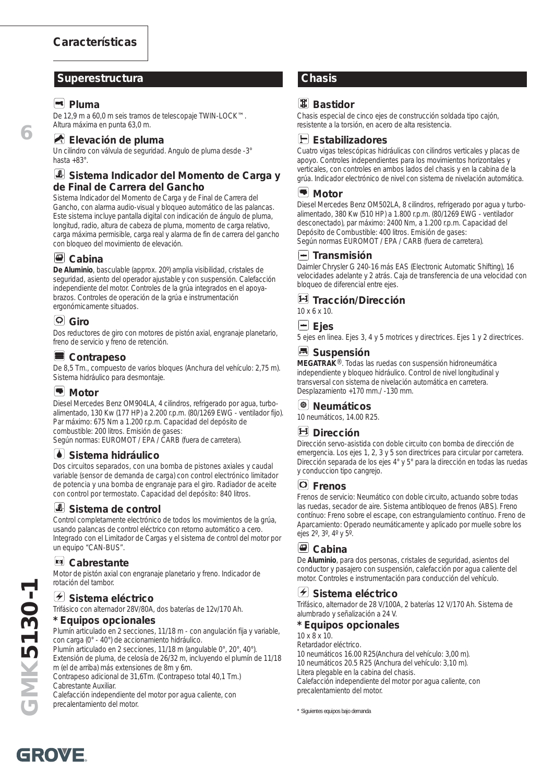#### **Superestructura Chasis**

#### **Pluma**

**6**

De 12,9 m a 60,0 m seis tramos de telescopaje TWIN-LOCK™. Altura máxima en punta 63,0 m.

#### **Elevación de pluma**

Un cilindro con válvula de seguridad. Angulo de pluma desde -3° hasta +83°.

#### **Sistema Indicador del Momento de Carga y de Final de Carrera del Gancho**

Sistema Indicador del Momento de Carga y de Final de Carrera del Gancho, con alarma audio-visual y bloqueo automático de las palancas. Este sistema incluye pantalla digital con indicación de ángulo de pluma, longitud, radio, altura de cabeza de pluma, momento de carga relativo, carga máxima permisible, carga real y alarma de fin de carrera del gancho con bloqueo del movimiento de elevación.

#### **Cabina**

**De Aluminio**, basculable (approx. 20º) amplia visibilidad, cristales de seguridad, asiento del operador ajustable y con suspensión. Calefacción independiente del motor. Controles de la grúa integrados en el apoyabrazos. Controles de operación de la grúa e instrumentación ergonómicamente situados.

### **Giro**

Dos reductores de giro con motores de pistón axial, engranaje planetario, freno de servicio y freno de retención.

#### **Contrapeso**

De 8,5 Tm., compuesto de varios bloques (Anchura del vehículo: 2,75 m). Sistema hidráulico para desmontaje.

#### **Motor**

Diesel Mercedes Benz OM904LA, 4 cilindros, refrigerado por agua, turboalimentado, 130 Kw (177 HP) a 2.200 r.p.m. (80/1269 EWG - ventilador fijo). Par máximo: 675 Nm a 1.200 r.p.m. Capacidad del depósito de combustible: 200 litros. Emisión de gases:

Según normas: EUROMOT / EPA / CARB (fuera de carretera).

#### **Sistema hidráulico**

Dos circuitos separados, con una bomba de pistones axiales y caudal variable (sensor de demanda de carga) con control electrónico limitador de potencia y una bomba de engranaje para el giro. Radiador de aceite con control por termostato. Capacidad del depósito: 840 litros.

#### **Sistema de control**

Control completamente electrónico de todos los movimientos de la grúa, usando palancas de control eléctrico con retorno automático a cero. Integrado con el Limitador de Cargas y el sistema de control del motor por un equipo "CAN-BUS".

#### **Cabrestante**

Motor de pistón axial con engranaje planetario y freno. Indicador de rotación del tambor.

#### **Sistema eléctrico**

Trifásico con alternador 28V/80A, dos baterías de 12v/170 Ah.

#### **\* Equipos opcionales**

Plumín articulado en 2 secciones, 11/18 m - con angulación fija y variable, con carga (0° - 40°) de accionamiento hidráulico. Plumín articulado en 2 secciones, 11/18 m (angulable 0°, 20°, 40°). Extensión de pluma, de celosía de 26/32 m, incluyendo el plumín de 11/18 m (el de arriba) más extensiones de 8m y 6m. Contrapeso adicional de 31,6Tm. (Contrapeso total 40,1 Tm.)

Cabrestante Auxiliar.

Calefacción independiente del motor por agua caliente, con precalentamiento del motor.

### **图 Bastidor**

Chasis especial de cinco ejes de construcción soldada tipo cajón, resistente a la torsión, en acero de alta resistencia.



Cuatro vigas telescópicas hidráulicas con cilindros verticales y placas de apoyo. Controles independientes para los movimientos horizontales y verticales, con controles en ambos lados del chasis y en la cabina de la grúa. Indicador electrónico de nivel con sistema de nivelación automática.

#### **Motor**

Diesel Mercedes Benz OM502LA, 8 cilindros, refrigerado por agua y turboalimentado, 380 Kw (510 HP) a 1.800 r.p.m. (80/1269 EWG - ventilador desconectado), par máximo: 2400 Nm, a 1.200 r.p.m. Capacidad del Depósito de Combustible: 400 litros. Emisión de gases: Según normas EUROMOT / EPA / CARB (fuera de carretera).

#### **Transmisión**

Daimler Chrysler G 240-16 más EAS (Electronic Automatic Shifting), 16 velocidades adelante y 2 atrás. Caja de transferencia de una velocidad con bloqueo de diferencial entre ejes.

**Tracción/Dirección**

10 x 6 x 10.

#### **Ejes**

5 ejes en linea. Ejes 3, 4 y 5 motrices y directrices. Ejes 1 y 2 directrices.

### **Suspensión**

**MEGATRAK**®. Todas las ruedas con suspensión hidroneumática independiente y bloqueo hidráulico. Control de nivel longitudinal y transversal con sistema de nivelación automática en carretera. Desplazamiento +170 mm./ -130 mm.

### **Neumáticos**

10 neumáticos, 14.00 R25.

### **H** Dirección

Dirección servo-asistida con doble circuito con bomba de dirección de emergencia. Los ejes 1, 2, 3 y 5 son directrices para circular por carretera. Dirección separada de los ejes 4° y 5° para la dirección en todas las ruedas y conduccion tipo cangrejo.

#### **Frenos**

Frenos de servicio: Neumático con doble circuito, actuando sobre todas las ruedas, secador de aire. Sistema antibloqueo de frenos (ABS). Freno contínuo: Freno sobre el escape, con estrangulamiento contínuo. Freno de Aparcamiento: Operado neumáticamente y aplicado por muelle sobre los ejes 2º, 3º, 4º y 5º.

### **Cabina**

De **Aluminio**, para dos personas, cristales de seguridad, asientos del conductor y pasajero con suspensión, calefacción por agua caliente del motor. Controles e instrumentación para conducción del vehículo.

### **Sistema eléctrico**

Trifásico, alternador de 28 V/100A, 2 baterías 12 V/170 Ah. Sistema de alumbrado y señalización a 24 V.

#### **\* Equipos opcionales**

10 x 8 x 10.

Retardador eléctrico. 10 neumáticos 16.00 R25(Anchura del vehículo: 3,00 m). 10 neumáticos 20.5 R25 (Anchura del vehículo: 3,10 m). Litera plegable en la cabina del chasis. Calefacción independiente del motor por agua caliente, con precalentamiento del motor.

\* Siguientes equipos bajo demanda

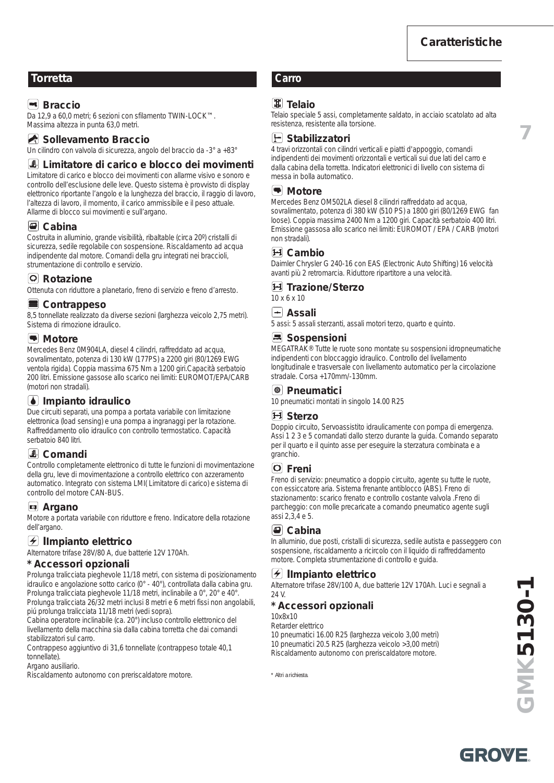**7**

### **Torretta Carro**

### **Ex** Braccio

Da 12,9 a 60,0 metri; 6 sezioni con sfilamento TWIN-LOCK™. Massima altezza in punta 63,0 metri.

#### Sollevamento Braccio

Un cilindro con valvola di sicurezza, angolo del braccio da -3° a +83°

#### **Limitatore di carico e blocco dei movimenti**

Limitatore di carico e blocco dei movimenti con allarme visivo e sonoro e controllo dell'esclusione delle leve. Questo sistema è provvisto di display elettronico riportante l'angolo e la lunghezza del braccio, il raggio di lavoro, l'altezza di lavoro, il momento, il carico ammissibile e il peso attuale. Allarme di blocco sui movimenti e sull'argano.

#### **Cabina**

Costruita in alluminio, grande visibilità, ribaltable (circa 20º) cristalli di sicurezza, sedile regolabile con sospensione. Riscaldamento ad acqua indipendente dal motore. Comandi della gru integrati nei braccioli, strumentazione di controllo e servizio.

#### **Rotazione**

Ottenuta con riduttore a planetario, freno di servizio e freno d'arresto.

#### **Contrappeso**

8,5 tonnellate realizzato da diverse sezioni (larghezza veicolo 2,75 metri). Sistema di rimozione idraulico.

#### **Motore**

Mercedes Benz 0M904LA, diesel 4 cilindri, raffreddato ad acqua, sovralimentato, potenza di 130 kW (177PS) a 2200 giri (80/1269 EWG ventola rigida). Coppia massima 675 Nm a 1200 giri.Capacità serbatoio 200 litri. Emissione gassose allo scarico nei limiti: EUROMOT/EPA/CARB (motori non stradali).

### **Impianto idraulico**

Due circuiti separati, una pompa a portata variabile con limitazione elettronica (load sensing) e una pompa a ingranaggi per la rotazione. Raffreddamento olio idraulico con controllo termostatico. Capacità serbatoio 840 litri.

#### **Comandi**

Controllo completamente elettronico di tutte le funzioni di movimentazione della gru, leve di movimentazione a controllo elettrico con azzeramento automatico. Integrato con sistema LMI( Limitatore di carico) e sistema di controllo del motore CAN-BUS.

#### **Argano**

Motore a portata variabile con riduttore e freno. Indicatore della rotazione dell'argano.

#### **I**<del>I</del> Ilmpianto elettrico

Alternatore trifase 28V/80 A, due batterie 12V 170Ah.

#### **\* Accessori opzionali**

Prolunga tralicciata pieghevole 11/18 metri, con sistema di posizionamento idraulico e angolazione sotto carico (0° - 40°), controllata dalla cabina gru. Prolunga tralicciata pieghevole 11/18 metri, inclinabile a 0°, 20° e 40°. Prolunga tralicciata 26/32 metri inclusi 8 metri e 6 metri fissi non angolabili, piú prolunga tralicciata 11/18 metri (vedi sopra).

Cabina operatore inclinabile (ca. 20°) incluso controllo elettronico del livellamento della macchina sia dalla cabina torretta che dai comandi stabilizzatori sul carro.

Contrappeso aggiuntivo di 31,6 tonnellate (contrappeso totale 40,1 tonnellate).

Argano ausiliario.

Riscaldamento autonomo con preriscaldatore motore.

### **Telaio**

Telaio speciale 5 assi, completamente saldato, in acciaio scatolato ad alta resistenza, resistente alla torsione.

**F** Stabilizzatori

4 travi orizzontali con cilindri verticali e piatti d'appoggio, comandi indipendenti dei movimenti orizzontali e verticali sui due lati del carro e dalla cabina della torretta. Indicatori elettronici di livello con sistema di messa in bolla automatico.

#### **Motore**

Mercedes Benz OM502LA diesel 8 cilindri raffreddato ad acqua, sovralimentato, potenza di 380 kW (510 PS) a 1800 giri (80/1269 EWG fan loose). Coppia massima 2400 Nm a 1200 giri. Capacità serbatoio 400 litri. Emissione gassosa allo scarico nei limiti: EUROMOT / EPA / CARB (motori non stradali).

#### **Cambio**

Daimler Chrysler G 240-16 con EAS (Electronic Auto Shifting) 16 velocità avanti più 2 retromarcia. Riduttore ripartitore a una velocità.

#### **Trazione/Sterzo**

10 x 6 x 10

#### **Assali**

5 assi: 5 assali sterzanti, assali motori terzo, quarto e quinto.

#### **B** Sospensioni

MEGATRAK® Tutte le ruote sono montate su sospensioni idropneumatiche indipendenti con bloccaggio idraulico. Controllo del livellamento longitudinale e trasversale con livellamento automatico per la circolazione stradale. Corsa +170mm/-130mm.

#### **Pneumatici**

10 pneumatici montati in singolo 14.00 R25

#### **Sterzo**

Doppio circuito, Servoassistito idraulicamente con pompa di emergenza. Assi 1 2 3 e 5 comandati dallo sterzo durante la guida. Comando separato per il quarto e il quinto asse per eseguire la sterzatura combinata e a granchio.

#### **Freni**

Freno di servizio: pneumatico a doppio circuito, agente su tutte le ruote, con essiccatore aria. Sistema frenante antiblocco (ABS). Freno di stazionamento: scarico frenato e controllo costante valvola .Freno di parcheggio: con molle precaricate a comando pneumatico agente sugli assi 2,3,4 e 5.

### **Cabina**

In alluminio, due posti, cristalli di sicurezza, sedile autista e passeggero con sospensione, riscaldamento a ricircolo con il liquido di raffreddamento motore. Completa strumentazione di controllo e guida.

#### **IImpianto elettrico**

Alternatore trifase 28V/100 A, due batterie 12V 170Ah. Luci e segnali a 24 V.

#### **\* Accessori opzionali**

10x8x10

Retarder elettrico

10 pneumatici 16.00 R25 (larghezza veicolo 3,00 metri) 10 pneumatici 20.5 R25 (larghezza veicolo >3,00 metri) Riscaldamento autonomo con preriscaldatore motore.

\* Altri a richiesta.

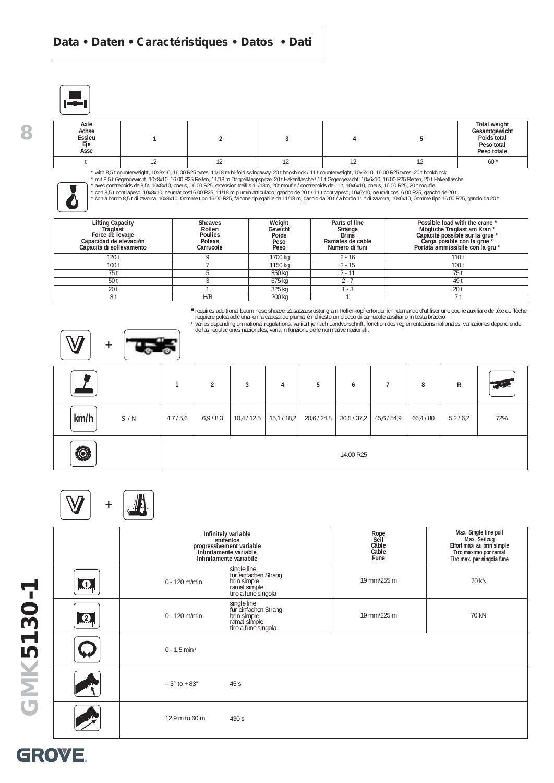### **Data • Daten • Caractéristiques • Datos • Dati**

|--|

đ

| Axle<br>Achse<br>Essieu<br>Eje<br>Asse |  |  | <b>Total weight</b><br>Gesamtgewicht<br>Poids total<br>Peso total<br>Peso totale |
|----------------------------------------|--|--|----------------------------------------------------------------------------------|
|                                        |  |  | $60*$                                                                            |

\* with 8,5 t counterweight, 10x8x10, 16.00 R25 tyres, 11/18 m bi-fold swingaway, 20 t hookblock / 11 t counterweight, 10x6x10, 16.00 R25 tyres, 20 t hookblock

\* mit 8,5 t Gegengewicht, 10x8x10, 16.00 R25 Reifen, 11/18 m Doppelklappspitze, 20 t Hakenflasche / 11 t Gegengewicht, 10x6x10, 16.00 R25 Reifen, 20 t Hakenflasche<br>\* avec contrepoids de 8,5t, 10x8x10, pneus, 16.00 R25, ext

| <b>Lifting Capacity</b><br><b>Traglast</b><br>Force de levage<br>Capacidad de elevación<br>Capacità di sollevamento | <b>Sheaves</b><br>Rollen<br><b>Poulies</b><br>Poleas<br>Carrucole | Weight<br>Gewicht<br>Poids<br>Peso<br>Peso | Parts of line<br>Stränge<br><b>Brins</b><br>Ramales de cable<br>Numero di funi | Possible load with the crane *<br>Mögliche Traglast am Kran *<br>Capacité possible sur la grue *<br>Carga posible con la grue *<br>Portata ammissibile con la gru * |
|---------------------------------------------------------------------------------------------------------------------|-------------------------------------------------------------------|--------------------------------------------|--------------------------------------------------------------------------------|---------------------------------------------------------------------------------------------------------------------------------------------------------------------|
| 120 t                                                                                                               |                                                                   | 1700 ka                                    | $2 - 16$                                                                       | 110 <sub>t</sub>                                                                                                                                                    |
| 100 <sub>t</sub>                                                                                                    |                                                                   | 1150 ka                                    | $2 - 15$                                                                       | 100 <sub>t</sub>                                                                                                                                                    |
| 751                                                                                                                 |                                                                   | 850 kg                                     | $2 - 11$                                                                       | 75 t                                                                                                                                                                |
| 501                                                                                                                 |                                                                   | 675 kg                                     | 7 - 2                                                                          | 49 t                                                                                                                                                                |
| 201                                                                                                                 |                                                                   | 325 kg                                     | - 3                                                                            | 20 <sub>t</sub>                                                                                                                                                     |
| 81                                                                                                                  | H/B                                                               | 200 kg                                     |                                                                                |                                                                                                                                                                     |

■ requires additional boom nose sheave, Zusatzausrüstung am Rollenkopf erforderlich, demande d'utiliser une poulie auxiliare de tête de flèche,<br>- requiere polea adicional en la cabeza de pluma, è richiesto un blocco di ca





|             |         | 2       | 3         | 4                       | 5 | 6         |                       | 8         | R       | t il. |
|-------------|---------|---------|-----------|-------------------------|---|-----------|-----------------------|-----------|---------|-------|
| km/h<br>S/N | 4,7/5,6 | 6,9/8,3 | 10,4/12,5 | $15,1/18,2$   20,6/24,8 |   |           | $30,5/37,2$ 45,6/54,9 | 66,4 / 80 | 5,2/6,2 | 72%   |
| O.          |         |         |           |                         |   | 14.00 R25 |                       |           |         |       |

# **+**

|                  |                             | Infinitely variable<br>stufenlos<br>progressivement variable<br>Infinitamente variable<br>Infinitamente variabile | Rope<br>Seil<br>Câble<br>Cable<br>Fune | Max. Single line pull<br>Max. Seilzug<br>Effort maxi au brin simple<br>Tiro máximo por ramal<br>Tiro max. per singola fune |
|------------------|-----------------------------|-------------------------------------------------------------------------------------------------------------------|----------------------------------------|----------------------------------------------------------------------------------------------------------------------------|
| $\bullet$        | $0 - 120$ m/min             | single line<br>für einfachen Strang<br>brin simple<br>ramal simple<br>tiro a fune singola                         | 19 mm/255 m                            | 70 kN                                                                                                                      |
| $\boldsymbol{Q}$ | $0 - 120$ m/min             | single line<br>für einfachen Strang<br>brin simple<br>ramal simple<br>tiro a fune singola                         | 19 mm/225 m                            | 70 kN                                                                                                                      |
|                  | $0 - 1.5$ min <sup>-1</sup> |                                                                                                                   |                                        |                                                                                                                            |
|                  | $-3°$ to + 83°              | 45s                                                                                                               |                                        |                                                                                                                            |
|                  | 12,9 m to 60 m              | 430 s                                                                                                             |                                        |                                                                                                                            |

**8**

**GMK5130-1**

GMK5130-1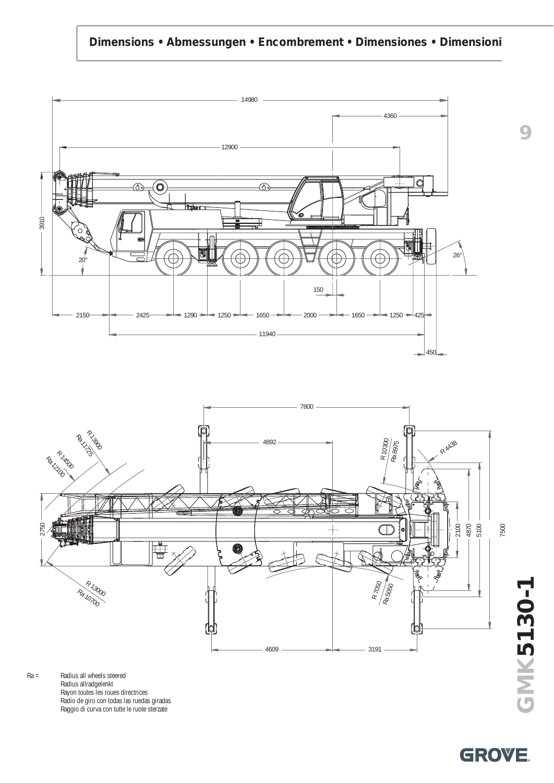### **Dimensions • Abmessungen • Encombrement • Dimensiones • Dimensioni**



Ra = Radius all wheels steered Radius allradgelenkt Rayon toutes les roues directrices Radio de giro con todas las ruedas giradas Raggio di curva con tutte le ruote sterzate

**GMK5130-1** GMK5130-1

**9**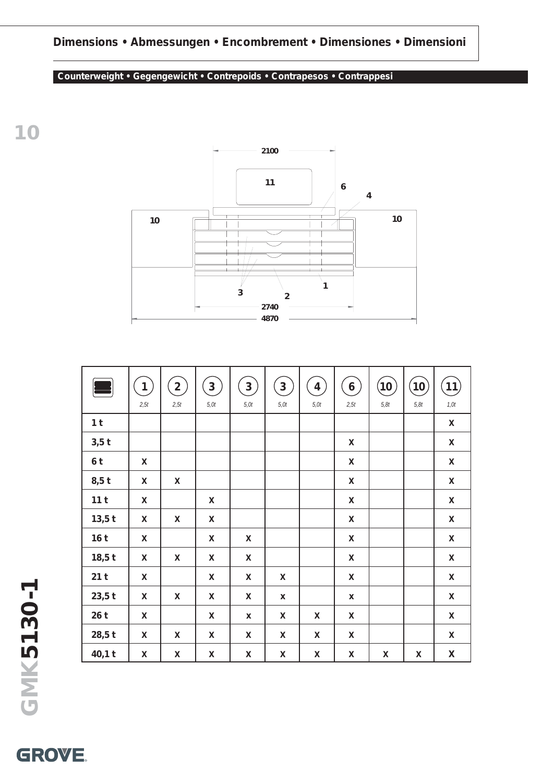### **Dimensions • Abmessungen • Encombrement • Dimensiones • Dimensioni**

### **Counterweight • Gegengewicht • Contrepoids • Contrapesos • Contrappesi**



|                 | $\mathbf{1}$<br>2,5t | $\mathbf{2}$<br>2,5t | $\overline{3}$<br>5,0t | $\mathbf{3}$<br>5,0t | $\mathbf{3}$<br>5,0t | $\overline{4}$<br>5,0t | $\boldsymbol{6}$<br>2,5t | (10)<br>5,8t | (10)<br>5,8t | (11)<br>1,0t       |
|-----------------|----------------------|----------------------|------------------------|----------------------|----------------------|------------------------|--------------------------|--------------|--------------|--------------------|
| 1 <sub>t</sub>  |                      |                      |                        |                      |                      |                        |                          |              |              | X                  |
| $3,5$ t         |                      |                      |                        |                      |                      |                        | X                        |              |              | X                  |
| 6 <sup>t</sup>  | X                    |                      |                        |                      |                      |                        | $\mathsf{X}$             |              |              | X                  |
| $8,5$ t         | X                    | X                    |                        |                      |                      |                        | $\pmb{\mathsf{X}}$       |              |              | $\pmb{\mathsf{X}}$ |
| 11 <sub>t</sub> | X                    |                      | X                      |                      |                      |                        | $\mathsf{X}$             |              |              | X                  |
| $13,5$ t        | X                    | X                    | $\mathsf{X}$           |                      |                      |                        | $\mathsf{X}$             |              |              | $\pmb{\mathsf{X}}$ |
| 16 <sub>t</sub> | X                    |                      | $\pmb{\times}$         | X                    |                      |                        | $\pmb{\mathsf{X}}$       |              |              | X                  |
| $18,5$ t        | X                    | X                    | X                      | X                    |                      |                        | $\mathsf{X}$             |              |              | X                  |
| 21t             | X                    |                      | $\mathsf{x}$           | X                    | X                    |                        | $\mathsf{X}$             |              |              | $\pmb{\mathsf{X}}$ |
| $23,5$ t        | X                    | X                    | X                      | X                    | X                    |                        | X                        |              |              | X                  |
| 26t             | X                    |                      | X                      | X                    | X                    | X                      | $\mathsf{X}$             |              |              | $\pmb{\mathsf{X}}$ |
| $28,5$ t        | X                    | X                    | $\pmb{\mathsf{X}}$     | X                    | X                    | X                      | $\pmb{\mathsf{X}}$       |              |              | $\pmb{\mathsf{X}}$ |
| $40,1$ t        | X                    | X                    | $\pmb{\mathsf{X}}$     | X                    | X                    | X                      | X                        | X            | X            | $\pmb{\mathsf{X}}$ |

**10**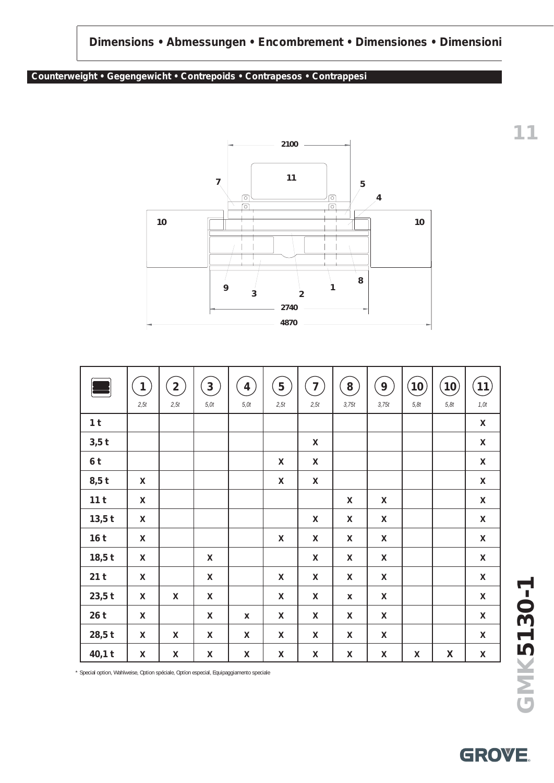### **Dimensions • Abmessungen • Encombrement • Dimensiones • Dimensioni**

#### **Counterweight • Gegengewicht • Contrepoids • Contrapesos • Contrappesi**



| $\blacksquare$  | $\mathbf{1}$<br>2,5t | $\overline{2}$<br>2,5t | $\overline{3}$<br>5,0t | $\overline{4}$<br>5,0t | 5<br>2,5t | $\overline{7}$<br>2,5t | 8<br>3,75t | 9<br>3,75t         | (10)<br>5,8t | $\left( 10\right)$<br>5,8t | (11)<br>$1,0t$     |
|-----------------|----------------------|------------------------|------------------------|------------------------|-----------|------------------------|------------|--------------------|--------------|----------------------------|--------------------|
| 1 <sub>t</sub>  |                      |                        |                        |                        |           |                        |            |                    |              |                            | X                  |
| $3,5$ t         |                      |                        |                        |                        |           | X                      |            |                    |              |                            | X                  |
| 6 <sup>t</sup>  |                      |                        |                        |                        | X         | X                      |            |                    |              |                            | $\mathsf X$        |
| $8,5$ t         | X                    |                        |                        |                        | X         | X                      |            |                    |              |                            | $\pmb{\mathsf{X}}$ |
| 11 <sub>t</sub> | X                    |                        |                        |                        |           |                        | X          | X                  |              |                            | $\pmb{\mathsf{X}}$ |
| $13,5$ t        | X                    |                        |                        |                        |           | X                      | X          | X                  |              |                            | $\mathsf X$        |
| 16 <sub>t</sub> | X                    |                        |                        |                        | X         | X                      | X          | X                  |              |                            | X                  |
| $18,5$ t        | X                    |                        | X                      |                        |           | X                      | X          | X                  |              |                            | $\mathsf X$        |
| 21t             | X                    |                        | X                      |                        | X         | X                      | X          | X                  |              |                            | $\mathsf X$        |
| $23,5$ t        | X                    | X                      | X                      |                        | X         | X                      | X          | X                  |              |                            | $\pmb{\mathsf{X}}$ |
| 26t             | $\mathsf{X}$         |                        | X                      | X                      | X         | X                      | X          | X                  |              |                            | $\mathsf X$        |
| $28,5$ t        | X                    | X                      | X                      | X                      | X         | X                      | X          | $\pmb{\mathsf{X}}$ |              |                            | X                  |
| $40,1$ t        | X                    | X                      | X                      | X                      | X         | X                      | X          | X                  | X            | X                          | $\mathsf X$        |

\* Special option, Wahlweise, Option spéciale, Optíon especial, Equipaggiamento speciale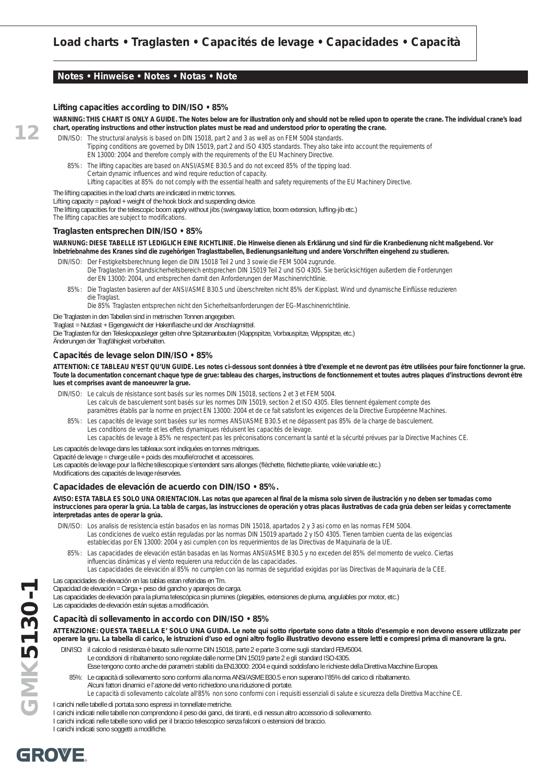#### **Notes • Hinweise • Notes • Notas • Note**

#### **Lifting capacities according to DIN/ISO • 85%**

**WARNING: THIS CHART IS ONLY A GUIDE. The Notes below are for illustration only and should not be relied upon to operate the crane. The individual crane's load chart, operating instructions and other instruction plates must be read and understood prior to operating the crane.**

DIN/ISO: The structural analysis is based on DIN 15018, part 2 and 3 as well as on FEM 5004 standards. Tipping conditions are governed by DIN 15019, part 2 and ISO 4305 standards. They also take into account the requirements of EN 13000: 2004 and therefore comply with the requirements of the EU Machinery Directive.

85%: The lifting capacities are based on ANSI/ASME B30.5 and do not exceed 85% of the tipping load. Certain dynamic influences and wind require reduction of capacity. Lifting capacities at 85% do not comply with the essential health and safety requirements of the EU Machinery Directive.

The lifting capacities in the load charts are indicated in metric tonnes.

Lifting capacity = payload + weight of the hook block and suspending device.

The lifting capacities for the telescopic boom apply without jibs (swingaway lattice, boom extension, luffing-jib etc.)

The lifting capacities are subject to modifications.

**12**

#### **Traglasten entsprechen DIN/ISO • 85%**

#### **WARNUNG: DIESE TABELLE IST LEDIGLICH EINE RICHTLINIE. Die Hinweise dienen als Erklärung und sind für die Kranbedienung nicht maßgebend. Vor Inbetriebnahme des Kranes sind die zugehörigen Traglasttabellen, Bedienungsanleitung und andere Vorschriften eingehend zu studieren.**

DIN/ISO: Der Festigkeitsberechnung liegen die DIN 15018 Teil 2 und 3 sowie die FEM 5004 zugrunde. Die Traglasten im Standsicherheitsbereich entsprechen DIN 15019 Teil 2 und ISO 4305. Sie berücksichtigen außerdem die Forderungen der EN 13000: 2004, und entsprechen damit den Anforderungen der Maschinenrichtlinie.

85%: Die Traglasten basieren auf der ANSI/ASME B30.5 und überschreiten nicht 85% der Kipplast. Wind und dynamische Einflüsse reduzieren die Traglast.

Die 85% Traglasten entsprechen nicht den Sicherheitsanforderungen der EG-Maschinenrichtlinie.

Die Traglasten in den Tabellen sind in metrischen Tonnen angegeben.

Traglast = Nutzlast + Eigengewicht der Hakenflasche und der Anschlagmittel.

Die Traglasten für den Teleskopausleger gelten ohne Spitzenanbauten (Klappspitze, Vorbauspitze, Wippspitze, etc.)

#### Änderungen der Tragfähigkeit vorbehalten.

#### **Capacités de levage selon DIN/ISO • 85%**

**ATTENTION: CE TABLEAU N'EST QU'UN GUIDE. Les notes ci-dessous sont données à titre d'exemple et ne devront pas être utilisées pour faire fonctionner la grue. Toute la documentation concernant chaque type de grue: tableau des charges, instructions de fonctionnement et toutes autres plaques d'instructions devront être lues et comprises avant de manoeuvrer la grue.**

- DIN/ISO: Le calculs de résistance sont basés sur les normes DIN 15018, sections 2 et 3 et FEM 5004.
	- Les calculs de basculement sont basés sur les normes DIN 15019, section 2 et ISO 4305. Elles tiennent également compte des
	- paramètres établis par la norme en project EN 13000: 2004 et de ce fait satisfont les exigences de la Directive Européenne Machines.
	- 85%: Les capacités de levage sont basées sur les normes ANSI/ASME B30.5 et ne dépassent pas 85% de la charge de basculement. Les conditions de vente et les effets dynamiques réduisent les capacités de levage.
		- Les capacités de levage à 85% ne respectent pas les préconisations concernant la santé et la sécurité prévues par la Directive Machines CE.

#### Les capacités de levage dans les tableaux sont indiquées en tonnes métriques.

Capacité de levage = charge utile + poids des moufle/crochet et accessoires.

Les capacités de levage pour la flèche télescopique s'entendent sans allonges (flèchette, flèchette pliante, volée variable etc.)

Modifications des capacités de levage réservées.

#### **Capacidades de elevación de acuerdo con DIN/ISO • 85%.**

#### **AVISO: ESTA TABLA ES SOLO UNA ORIENTACION. Las notas que aparecen al final de la misma solo sirven de ilustración y no deben ser tomadas como instrucciones para operar la grúa. La tabla de cargas, las instrucciones de operación y otras placas ilustrativas de cada grúa deben ser leídas y correctamente interpretadas antes de operar la grúa.**

DIN/ISO: Los analisis de resistencia están basados en las normas DIN 15018, apartados 2 y 3 asi como en las normas FEM 5004. Las condiciones de vuelco están reguladas por las normas DIN 15019 apartado 2 y ISO 4305. Tienen tambien cuenta de las exigencias establecidas por EN 13000: 2004 y asi cumplen con los requerimientos de las Directivas de Maquinaria de la UE.

85%: Las capacidades de elevación están basadas en las Normas ANSI/ASME B30.5 y no exceden del 85% del momento de vuelco. Ciertas influencias dinámicas y el viento requieren una reducción de las capacidades.

Las capacidades de elevación al 85% no cumplen con las normas de seguridad exigidas por las Directivas de Maquinaria de la CEE.

Las capacidades de elevación en las tablas estan referidas en Tm.

Capacidad de elevación = Carga + peso del gancho y aparejos de carga.

Las capacidades de elevación para la pluma telescópica sin plumines (plegables, extensiones de pluma, angulables por motor, etc.) Las capacidades de elevación están sujetas a modificación.

#### **Capacità di sollevamento in accordo con DIN/ISO • 85%**

#### **ATTENZIONE: QUESTA TABELLA E' SOLO UNA GUIDA. Le note qui sotto riportate sono date a titolo d'esempio e non devono essere utilizzate per operare la gru. La tabella di carico, le istruzioni d'uso ed ogni altro foglio illustrativo devono essere letti e compresi prima di manovrare la gru.**

- DIN/ISO: il calcolo di resistenza è basato sulle norme DIN 15018, parte 2 e parte 3 come sugli standard FEM5004. Le condizioni di ribaltamento sono regolate dalle norme DIN 15019 parte 2 e gli standard ISO 4305.
	- Esse tengono conto anche dei parametri stabiliti da EN13000: 2004 e quindi soddisfano le richieste della Direttiva Macchine Europea.
	- 85%: Le capacità di sollevamento sono conformi alla norma ANSI/ASME B30.5 e non superano l'85% del carico di ribaltamento.
		- Alcuni fattori dinamici e l'azione del vento richiedono una riduzione di portate.
			- Le capacità di sollevamento calcolate all'85% non sono conformi con i requisiti essenziali di salute e sicurezza della Direttiva Macchine CE.
- I carichi nelle tabelle di portata sono espressi in tonnellate metriche.
- I carichi indicati nelle tabelle non comprendono il peso dei ganci, dei tiranti, e di nessun altro accessorio di sollevamento.
- I carichi indicati nelle tabelle sono validi per il braccio telescopico senza falconi o estensioni del braccio.

I carichi indicati sono soggetti a modifiche.



**GMK5130-1**

GMK5130-1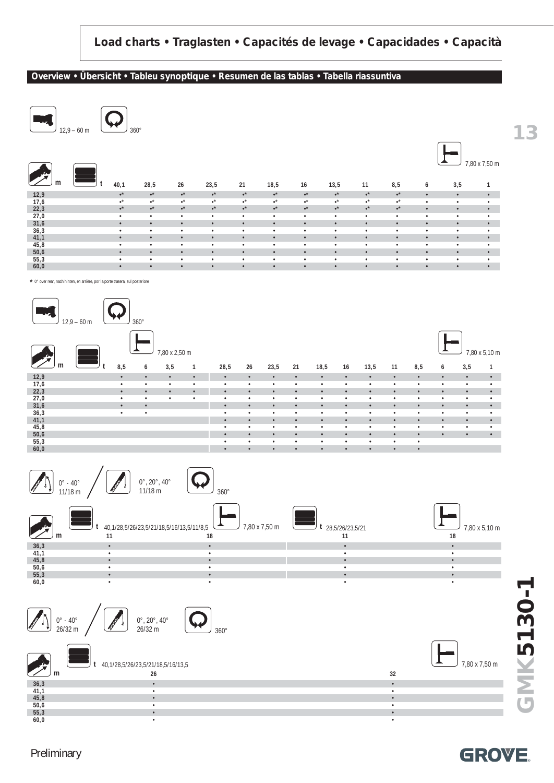#### **Overview • Übersicht • Tableu synoptique • Resumen de las tablas • Tabella riassuntiva**



|      |                        |                        |                 |                 |                        |                        |                               |                        |                 |                 |           |           | 7,80 x 7,50 m |
|------|------------------------|------------------------|-----------------|-----------------|------------------------|------------------------|-------------------------------|------------------------|-----------------|-----------------|-----------|-----------|---------------|
| m    | 40,1                   | 28,5                   | 26              | 23,5            | 21                     | 18,5                   | 16                            | 13,5                   | 11              | 8,5             | 6         | 3,5       |               |
| 12,9 | $\centerdot{}^{\star}$ | $\bullet^\star$        | $\bullet^\star$ | $\bullet^\star$ | $\centerdot{}^{\star}$ | $\centerdot{}^{\star}$ | $\scriptstyle\bullet^{\star}$ | $\centerdot{}^{\star}$ | $\bullet^\star$ | $\bullet^\star$ | $\bullet$ | $\bullet$ | $\bullet$     |
| 17,6 | $\cdot^*$              | $\cdot^*$              | $\cdot^*$       | $\cdot^*$       | $\centerdot{}^*$       | $\cdot^*$              | $\cdot^{\star}$               | $\cdot^*$              | $\cdot^{\star}$ | $\cdot^*$       | ٠         | $\bullet$ | $\bullet$     |
| 22,3 | $\centerdot{}^{\star}$ | $\centerdot{}^{\star}$ | $\bullet^\star$ | $\bullet^\star$ | $\centerdot{}^{\star}$ | $\centerdot{}^{\star}$ | $\bullet^{\star}$             | $\centerdot{}^{\star}$ | $\bullet^\star$ | $\bullet^\star$ | ٠         | $\bullet$ | ٠             |
| 27,0 | $\bullet$              | $\bullet$              | $\bullet$       | $\bullet$       | $\bullet$              | $\bullet$              | ٠                             | $\bullet$              | $\bullet$       | $\bullet$       | $\bullet$ | $\bullet$ | ٠             |
| 31,6 | $\bullet$              | $\bullet$              | $\bullet$       | $\bullet$       | $\bullet$              | $\bullet$              | $\bullet$                     | $\bullet$              | $\bullet$       | $\bullet$       | $\bullet$ | $\bullet$ | $\bullet$     |
| 36,3 | $\bullet$              | $\bullet$              | $\bullet$       | $\bullet$       | ٠                      | $\bullet$              | $\bullet$                     | $\bullet$              | $\bullet$       | $\bullet$       | $\bullet$ | $\bullet$ | $\bullet$     |
| 41,1 | $\bullet$              | $\bullet$              | $\bullet$       | $\bullet$       | $\bullet$              | $\bullet$              | $\bullet$                     | $\bullet$              | $\bullet$       | $\bullet$       | $\bullet$ | $\bullet$ | $\bullet$     |
| 45,8 | $\bullet$              | $\bullet$              | $\bullet$       | $\bullet$       | ٠                      | $\bullet$              | ٠                             | $\bullet$              | $\bullet$       | ٠               | ٠         | $\bullet$ | $\bullet$     |
| 50,6 | $\bullet$              | $\bullet$              | $\bullet$       | $\bullet$       | $\bullet$              | $\bullet$              | $\bullet$                     | $\bullet$              | $\bullet$       | $\bullet$       | $\bullet$ | $\bullet$ | $\bullet$     |
| 55,3 | $\bullet$              | $\bullet$              | $\bullet$       | $\bullet$       | ٠                      | $\bullet$              | ٠                             | $\bullet$              | $\bullet$       | ٠               | $\bullet$ | $\bullet$ | ٠             |
| 60,0 | $\bullet$              | $\bullet$              | $\bullet$       | $\bullet$       | $\bullet$              | $\bullet$              | $\bullet$                     | $\bullet$              | $\bullet$       | $\bullet$       | $\bullet$ | $\bullet$ | $\bullet$     |

\* 0° over rear, nach hinten, en arrière, por la porte trasera, sul posteriore





**m** 40,1/28,5/26/23,5/21/18,5/16/13,5 7,80 x 7,50 m **t 26 32 36,3** • • **41,1** • • **45,8** • • **50,6** • • **55,3** • • **60,0** • •

**GROVE** 

**13**

Preliminary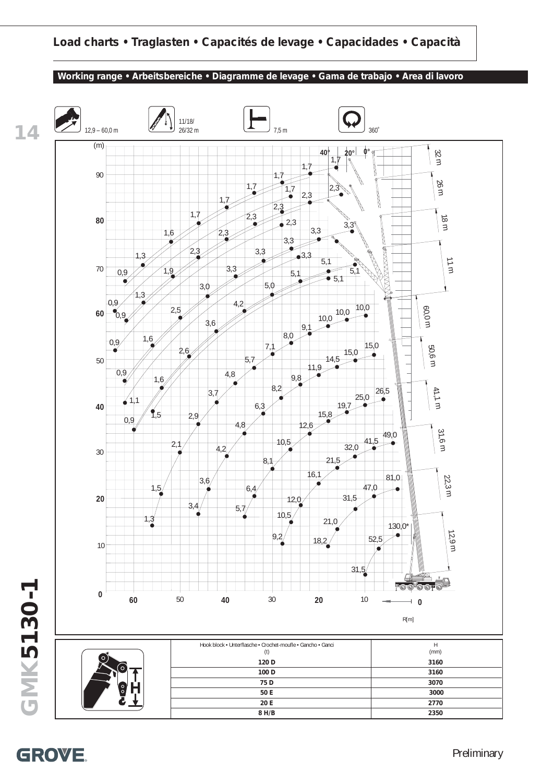

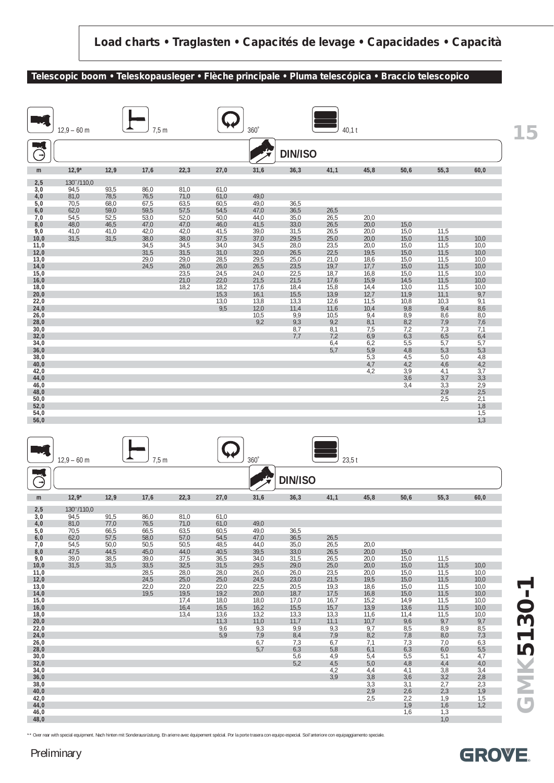#### **Telescopic boom • Teleskopausleger • Flèche principale • Pluma telescópica • Braccio telescopico**

|              | $12.9 - 60$ m |              | 7,5m         |              |              | $360^\circ$  |                | 40.1t        |              |              |              |                           |
|--------------|---------------|--------------|--------------|--------------|--------------|--------------|----------------|--------------|--------------|--------------|--------------|---------------------------|
| Э            |               |              |              |              |              |              | <b>DIN/ISO</b> |              |              |              |              |                           |
| m            | $12,9*$       | 12,9         | 17,6         | 22,3         | 27,0         | 31,6         | 36,3           | 41,1         | 45,8         | 50,6         | 55,3         | 60,0                      |
| 2,5          | 130~/110,0    |              |              |              |              |              |                |              |              |              |              |                           |
| 3,0<br>4,0   | 94,5<br>81,0  | 93,5<br>78,5 | 86,0<br>76,5 | 81,0<br>71,0 | 61,0<br>61,0 | 49,0         |                |              |              |              |              |                           |
| 5,0          | 70,5          | 68,0         | 67,5         | 63,5         | 60,5         | 49,0         | 36,5           |              |              |              |              |                           |
| 6,0          | 62,0          | 59,0         | 59,5         | 57,5         | 54,5         | 47,0         | 36,5           | 26,5         |              |              |              |                           |
| 7,0<br>8,0   | 54,5<br>48,0  | 52,5<br>46,5 | 53,0<br>47,0 | 52,0<br>47,0 | 50,0<br>46,0 | 44,0<br>41,5 | 35,0<br>33,0   | 26,5<br>26,5 | 20,0<br>20,0 | 15,0         |              |                           |
| 9,0          | 41,0          | 41,0         | 42,0         | 42,0         | 41,5         | 39,0         | 31,5           | 26,5         | 20,0         | 15,0         | 11,5         |                           |
| 10,0<br>11,0 | 31,5          | 31,5         | 38,0<br>34,5 | 38,0<br>34,5 | 37,5<br>34,0 | 37,0<br>34,5 | 29,5<br>28,0   | 25,0<br>23,5 | 20,0<br>20,0 | 15,0<br>15,0 | 11,5<br>11,5 | 10,0<br>10,0              |
| 12,0         |               |              | 31,5         | 31,5         | 31,0         | 32,0         | 26,5           | 22,5         | 19,5         | 15,0         | 11,5         | 10,0                      |
| 13,0         |               |              | 29,0<br>24,5 | 29,0         | 28,5         | 29,5<br>26,5 | 25,0<br>23,5   | 21,0         | 18,6         | 15,0         | 11,5<br>11,5 | 10,0                      |
| 14,0<br>15,0 |               |              |              | 26,0<br>23,5 | 26,0<br>24,5 | 24,0         | 22,5           | 19,7<br>18,7 | 17,7<br>16,8 | 15,0<br>15,0 | 11,5         | 10,0<br>10,0              |
| 16,0         |               |              |              | 21,0         | 22,0         | 21,5         | 21,5           | 17,6         | 15,9         | 14,5         | 11,5         | 10,0                      |
| 18,0<br>20,0 |               |              |              | 18,2         | 18,2<br>15,3 | 17,6<br>16,1 | 18,4<br>15,5   | 15,8<br>13,9 | 14,4<br>12,7 | 13,0<br>11,9 | 11,5<br>11,1 | 10,0<br>9,7               |
| 22,0         |               |              |              |              | 13,0         | 13,8         | 13,3           | 12,6         | 11,5         | 10,8         | 10,3         | 9,1                       |
| 24,0         |               |              |              |              | 9,5          | 12,0         | 11,4           | 11,6         | 10,4         | 9,8          | 9,4          | 8,6                       |
| 26,0<br>28,0 |               |              |              |              |              | 10,5<br>9,2  | 9,9<br>9,3     | 10,5<br>9,2  | 9,4<br>8,1   | 8,9<br>8,2   | 8,6<br>7,9   | 8,0<br>7,6                |
| 30,0         |               |              |              |              |              |              | 8,7            | 8,1          | 7,5          | 7,2          | 7,3          | 7,1                       |
| 32,0<br>34,0 |               |              |              |              |              |              | 7,7            | 7,2<br>6,4   | 6,9<br>6,2   | 6,3<br>5,5   | 6,5<br>5,7   | 6,4<br>5,7                |
| 36,0         |               |              |              |              |              |              |                | 5,7          | 5,9          | 4,8          | 5,3          | 5,3                       |
| 38,0         |               |              |              |              |              |              |                |              | 5,3          | 4,5          | 5,0          | 4,8                       |
| 40,0<br>42,0 |               |              |              |              |              |              |                |              | 4,7<br>4,2   | 4,2<br>3,9   | 4,6<br>4,1   | 4,2<br>3,7                |
| 44,0         |               |              |              |              |              |              |                |              |              | 3,6          | 3,7          | $3,3$<br>$2,9$            |
| 46,0<br>48,0 |               |              |              |              |              |              |                |              |              | 3,4          | 3,3<br>2,9   | 2,5                       |
| 50,0         |               |              |              |              |              |              |                |              |              |              | 2,5          |                           |
| 52,0         |               |              |              |              |              |              |                |              |              |              |              | $\frac{2}{2}$ , 1<br>1, 8 |
| 54,0<br>56,0 |               |              |              |              |              |              |                |              |              |              |              | 1,5<br>1,3                |
|              |               |              |              |              |              |              |                |              |              |              |              |                           |
|              |               |              |              |              |              |              |                |              |              |              |              |                           |
|              |               |              |              |              |              |              |                |              |              |              |              |                           |
|              | $12,9 - 60$ m |              | 7,5m         |              |              | $360^\circ$  |                | $23,5$ t     |              |              |              |                           |
|              |               |              |              |              |              |              |                |              |              |              |              |                           |
| $\vec{G}$    |               |              |              |              |              |              | DIN/ISO        |              |              |              |              |                           |

| $\rightarrow$ |            |      |      |      |      |      | <b>DIIVIIJO</b> |      |      |      |      |      |
|---------------|------------|------|------|------|------|------|-----------------|------|------|------|------|------|
| m             | $12,9*$    | 12,9 | 17,6 | 22,3 | 27,0 | 31,6 | 36,3            | 41,1 | 45,8 | 50,6 | 55,3 | 60,0 |
| 2,5           | 130"/110,0 |      |      |      |      |      |                 |      |      |      |      |      |
| 3,0           | 94,5       | 91,5 | 86,0 | 81,0 | 61,0 |      |                 |      |      |      |      |      |
| 4,0           | 81,0       | 77,0 | 76,5 | 71,0 | 61,0 | 49,0 |                 |      |      |      |      |      |
| 5,0           | 70,5       | 66,5 | 66,5 | 63,5 | 60,5 | 49,0 | 36,5            |      |      |      |      |      |
| 6,0           | 62,0       | 57,5 | 58,0 | 57,0 | 54,5 | 47,0 | 36,5            | 26,5 |      |      |      |      |
| 7,0           | 54,5       | 50,0 | 50,5 | 50,5 | 48,5 | 44,0 | 35,0            | 26,5 | 20,0 |      |      |      |
| 8,0           | 47,5       | 44,5 | 45,0 | 44,0 | 40,5 | 39,5 | 33,0            | 26,5 | 20,0 | 15,0 |      |      |
| 9,0           | 39,0       | 38,5 | 39,0 | 37,5 | 36,5 | 34,0 | 31,5            | 26,5 | 20,0 | 15,0 | 11,5 |      |
| 10,0          | 31.5       | 31.5 | 33,5 | 32,5 | 31,5 | 29,5 | 29,0            | 25,0 | 20,0 | 15,0 | 11,5 | 10,0 |
| 11,0          |            |      | 28,5 | 28,0 | 28,0 | 26,0 | 26,0            | 23,5 | 20,0 | 15,0 | 11,5 | 10,0 |
| 12,0          |            |      | 24,5 | 25,0 | 25,0 | 24,5 | 23,0            | 21,5 | 19,5 | 15,0 | 11,5 | 10,0 |
| 13,0          |            |      | 22,0 | 22,0 | 22,0 | 22,5 | 20,5            | 19,3 | 18,6 | 15,0 | 11,5 | 10,0 |
| 14,0          |            |      | 19,5 | 19,5 | 19,2 | 20,0 | 18,7            | 17,5 | 16,8 | 15,0 | 11,5 | 10,0 |
| 15,0          |            |      |      | 17,4 | 18,0 | 18,0 | 17,0            | 16,7 | 15,2 | 14,9 | 11,5 | 10,0 |
| 16,0          |            |      |      | 16,4 | 16,5 | 16,2 | 15,5            | 15,7 | 13,9 | 13,6 | 11,5 | 10,0 |
| 18,0          |            |      |      | 13,4 | 13,6 | 13,2 | 13,3            | 13,3 | 11,6 | 11,4 | 11,5 | 10,0 |
| 20,0          |            |      |      |      | 11,3 | 11,0 | 11,7            | 11,1 | 10,7 | 9,6  | 9,7  | 9,7  |
| 22,0          |            |      |      |      | 9,6  | 9,3  | 9,9             | 9,3  | 9,7  | 8,5  | 8,9  | 8,5  |
| 24,0          |            |      |      |      | 5,9  | 7,9  | 8,4             | 7,9  | 8,2  | 7,8  | 8,0  | 7,3  |
| 26,0          |            |      |      |      |      | 6,7  | 7,3             | 6,7  | 7,1  | 7,3  | 7,0  | 6,3  |
| 28,0          |            |      |      |      |      | 5,7  | 6,3             | 5,8  | 6,1  | 6,3  | 6,0  | 5,5  |
| 30,0          |            |      |      |      |      |      | 5,6             | 4,9  | 5,4  | 5,5  | 5,1  | 4,7  |
| 32,0          |            |      |      |      |      |      | 5,2             | 4,5  | 5,0  | 4,8  | 4,4  | 4,0  |
| 34,0          |            |      |      |      |      |      |                 | 4,2  | 4,4  | 4,1  | 3,8  | 3,4  |
| 36,0          |            |      |      |      |      |      |                 | 3,9  | 3,8  | 3,6  | 3,2  | 2,8  |
| 38,0          |            |      |      |      |      |      |                 |      | 3,3  | 3,1  | 2,7  | 2,3  |
| 40,0          |            |      |      |      |      |      |                 |      | 2,9  | 2,6  | 2,3  | 1,9  |
| 42,0          |            |      |      |      |      |      |                 |      | 2,5  | 2,2  | 1,9  | 1,5  |
| 44,0          |            |      |      |      |      |      |                 |      |      | 1,9  | 1,6  | 1,2  |
| 46,0          |            |      |      |      |      |      |                 |      |      | 1,6  | 1,3  |      |
| 48,0          |            |      |      |      |      |      |                 |      |      |      | 1,0  |      |

\*\* Over rear with special equipment. Nach hinten mit Sonderausrüstung. En arierre avec équipement spécial. Por la porte trasera con equipo especial. Soil'anteriore con equipaggiamento speciale.

**GROVE.** 

**GMK5130-1**

GMK5130-1

**15**

Preliminary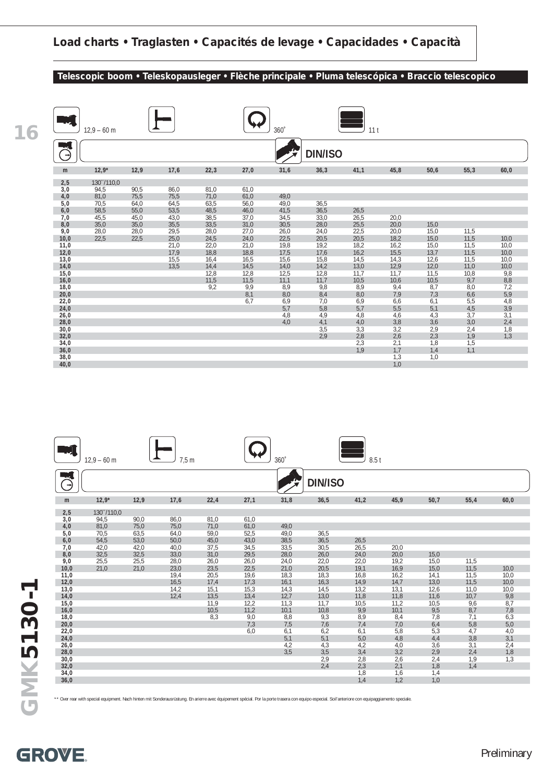#### **Telescopic boom • Teleskopausleger • Flèche principale • Pluma telescópica • Braccio telescopico**

**20,0** 8,1 8,0 8,4 8,0 7,9 7,3 6,6 5,9 **22,0** 6,7 6,9 7,0 6,9 6,6 6,1 5,5 4,8 **24,0** 5,7 5,8 5,7 5,5 5,1 4,5 3,9 **26,0** 4,8 4,9 4,8 4,6 4,3 3,7 3,1 **28,0** 4,0 4,1 4,0 3,8 3,6 3,0 2,4 **30,0 30,0 3,5** 3,3 3,2 2,9 2,4 1,8 **32,0** 2,9 2,8 2,6 2,3 1,9 1,3

**34,0** 2,3 2,1 1,8 1,5 **36,0** 1,9 1,7 1,4 1,1

**38,0** 1,3 1,0

**40,0** 1,0

| 16 |      | $12.9 - 60$ m |      |      | $360^\circ$<br>11 <sub>t</sub> |      |      |                |      |      |      |      |      |
|----|------|---------------|------|------|--------------------------------|------|------|----------------|------|------|------|------|------|
|    | ⇥    |               |      |      |                                |      |      | <b>DIN/ISO</b> |      |      |      |      |      |
|    | m    | $12,9*$       | 12,9 | 17,6 | 22,3                           | 27,0 | 31,6 | 36,3           | 41,1 | 45,8 | 50,6 | 55,3 | 60,0 |
|    | 2,5  | 130"/110,0    |      |      |                                |      |      |                |      |      |      |      |      |
|    | 3,0  | 94,5          | 90,5 | 86,0 | 81,0                           | 61,0 |      |                |      |      |      |      |      |
|    | 4,0  | 81,0          | 75,5 | 75,5 | 71,0                           | 61,0 | 49,0 |                |      |      |      |      |      |
|    | 5,0  | 70,5          | 64,0 | 64,5 | 63,5                           | 56,0 | 49,0 | 36,5           |      |      |      |      |      |
|    | 6,0  | 58,5          | 55,0 | 53,5 | 48,5                           | 46,0 | 41,5 | 36,5           | 26,5 |      |      |      |      |
|    | 7,0  | 45,5          | 45,0 | 43,0 | 38,5                           | 37,0 | 34,5 | 33,0           | 26,5 | 20,0 |      |      |      |
|    | 8,0  | 35,0          | 35,0 | 35,5 | 33,5                           | 31,0 | 30,5 | 28,0           | 25,5 | 20,0 | 15,0 |      |      |
|    | 9,0  | 28,0          | 28,0 | 29,5 | 28,0                           | 27,0 | 26,0 | 24,0           | 22,5 | 20,0 | 15,0 | 11,5 |      |
|    | 10,0 | 22,5          | 22,5 | 25,0 | 24,5                           | 24,0 | 22,5 | 20,5           | 20,5 | 18,2 | 15,0 | 11,5 | 10,0 |
|    | 11,0 |               |      | 21,0 | 22,0                           | 21,0 | 19,8 | 19,2           | 18,2 | 16,2 | 15,0 | 11,5 | 10,0 |
|    | 12,0 |               |      | 17,9 | 18,8                           | 18,8 | 17,5 | 17,6           | 16,2 | 15,5 | 13,7 | 11,5 | 10,0 |
|    | 13,0 |               |      | 15,5 | 16,4                           | 16,5 | 15,6 | 15,8           | 14,5 | 14,3 | 12,6 | 11,5 | 10,0 |
|    | 14,0 |               |      | 13,5 | 14,4                           | 14,5 | 14,0 | 14,2           | 13,0 | 12,9 | 12,0 | 11,0 | 10,0 |
|    | 15,0 |               |      |      | 12,8                           | 12,8 | 12,5 | 12,8           | 11,7 | 11,7 | 11,5 | 10,8 | 9,8  |
|    | 16,0 |               |      |      | 11,5                           | 11,5 | 11,1 | 11,7           | 10,5 | 10,6 | 10,5 | 9,7  | 8,8  |
|    | 18,0 |               |      |      | 9,2                            | 9.9  | 8,9  | 9,8            | 8,9  | 9,4  | 8,7  | 8,0  | 7,2  |

|      | $12.9 - 60$ m |      | 7,5m |      |      | 360° |                | 8.5t |      |      |      |      |
|------|---------------|------|------|------|------|------|----------------|------|------|------|------|------|
|      |               |      |      |      |      |      | <b>DIN/ISO</b> |      |      |      |      |      |
| m    | $12,9*$       | 12,9 | 17,6 | 22,4 | 27,1 | 31,8 | 36,5           | 41,2 | 45,9 | 50,7 | 55,4 | 60,0 |
| 2,5  | 130"/110.0    |      |      |      |      |      |                |      |      |      |      |      |
| 3,0  | 94,5          | 90,0 | 86,0 | 81,0 | 61,0 |      |                |      |      |      |      |      |
| 4,0  | 81,0          | 75,0 | 75,0 | 71,0 | 61,0 | 49,0 |                |      |      |      |      |      |
| 5,0  | 70,5          | 63,5 | 64,0 | 59,0 | 52,5 | 49,0 | 36,5           |      |      |      |      |      |
| 6,0  | 54,5          | 53,0 | 50,0 | 45,0 | 43,0 | 38,5 | 36,5           | 26,5 |      |      |      |      |
| 7,0  | 42,0          | 42,0 | 40,0 | 37,5 | 34,5 | 33,5 | 30,5           | 26,5 | 20,0 |      |      |      |
| 8,0  | 32,5          | 32,5 | 33,0 | 31,0 | 29,5 | 28,0 | 26,0           | 24,0 | 20,0 | 15,0 |      |      |
| 9,0  | 25,5          | 25,5 | 28,0 | 26,0 | 26,0 | 24,0 | 22,0           | 22,0 | 19,2 | 15,0 | 11,5 |      |
| 10,0 | 21,0          | 21,0 | 23,0 | 23,5 | 22,5 | 21,0 | 20,5           | 19,1 | 16,9 | 15,0 | 11,5 | 10,0 |
| 11,0 |               |      | 19,4 | 20,5 | 19,6 | 18,3 | 18,3           | 16,8 | 16,2 | 14,1 | 11,5 | 10,0 |
| 12,0 |               |      | 16,5 | 17,4 | 17,3 | 16,1 | 16,3           | 14,9 | 14,7 | 13,0 | 11,5 | 10,0 |
| 13,0 |               |      | 14,2 | 15,1 | 15,3 | 14,3 | 14,5           | 13,2 | 13,1 | 12,6 | 11,0 | 10,0 |
| 14,0 |               |      | 12,4 | 13,5 | 13,4 | 12,7 | 13,0           | 11,8 | 11,8 | 11,6 | 10,7 | 9,8  |
| 15,0 |               |      |      | 11,9 | 12,2 | 11,3 | 11,7           | 10,5 | 11,2 | 10,5 | 9,6  | 8,7  |
| 16,0 |               |      |      | 10,5 | 11,2 | 10,1 | 10,8           | 9,9  | 10,1 | 9,5  | 8,7  | 7,8  |
| 18,0 |               |      |      | 8,3  | 9,0  | 8,8  | 9,3            | 8,9  | 8,4  | 7,8  | 7,1  | 6,3  |
| 20,0 |               |      |      |      | 7,3  | 7,5  | 7,6            | 7,4  | 7,0  | 6,4  | 5,8  | 5,0  |
| 22,0 |               |      |      |      | 6,0  | 6,1  | 6,2            | 6,1  | 5,8  | 5,3  | 4,7  | 4,0  |
| 24,0 |               |      |      |      |      | 5,1  | 5,1            | 5,0  | 4,8  | 4,4  | 3,8  | 3,1  |
| 26,0 |               |      |      |      |      | 4,2  | 4,3            | 4,2  | 4,0  | 3,6  | 3,1  | 2,4  |
| 28,0 |               |      |      |      |      | 3,5  | 3,5            | 3,4  | 3,2  | 2,9  | 2,4  | 1,8  |
| 30,0 |               |      |      |      |      |      | 2,9            | 2,8  | 2,6  | 2,4  | 1,9  | 1,3  |
| 32,0 |               |      |      |      |      |      | 2,4            | 2,3  | 2,1  | 1,8  | 1,4  |      |
| 34,0 |               |      |      |      |      |      |                | 1,8  | 1,6  | 1,4  |      |      |
| 36,0 |               |      |      |      |      |      |                | 1,4  | 1,2  | 1,0  |      |      |

\*\* Over rear with special equipment. Nach hinten mit Sonderausrüstung. En arierre avec équipement spécial. Por la porte trasera con equipo especial. Soil'anteriore con equipaggiamento speciale.

GMK5130-1 **GMK5130-1**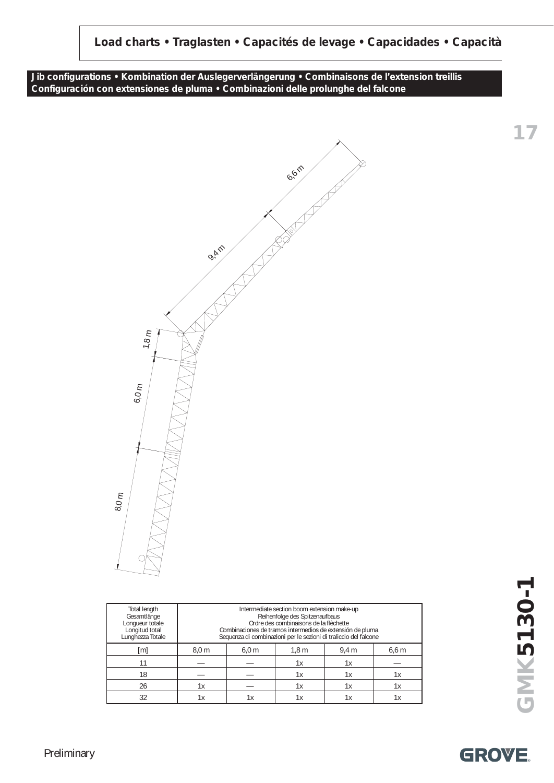**Jib configurations • Kombination der Auslegerverlängerung • Combinaisons de l'extension treillis Configuración con extensiones de pluma • Combinazioni delle prolunghe del falcone**



| Total length<br>Gesamtlänge<br>Longueur totale<br>Longitud total<br>Lunghezza Totale |                  |                  | Reihenfolge des Spitzenaufbaus<br>Ordre des combinaisons de la flèchette | Intermediate section boom extension make-up<br>Combinaciones de tramos intermedios de extensión de pluma<br>Sequenza di combinazioni per le sezioni di traliccio del falcone |            |  |  |
|--------------------------------------------------------------------------------------|------------------|------------------|--------------------------------------------------------------------------|------------------------------------------------------------------------------------------------------------------------------------------------------------------------------|------------|--|--|
| [m]                                                                                  | 8.0 <sub>m</sub> | 6.0 <sub>m</sub> | 1,8m                                                                     | $9,4 \, \text{m}$                                                                                                                                                            | $6,6 \, m$ |  |  |
| 11                                                                                   |                  |                  | 1х                                                                       | 1х                                                                                                                                                                           |            |  |  |
| 18                                                                                   |                  |                  | 1х                                                                       | 1х                                                                                                                                                                           | 1х         |  |  |
| 26                                                                                   | 1х               |                  |                                                                          | 1х                                                                                                                                                                           | 1х         |  |  |
|                                                                                      |                  | 1х               | lх                                                                       | 1х                                                                                                                                                                           |            |  |  |

GMK5130-1 **GMK5130-1**

**17**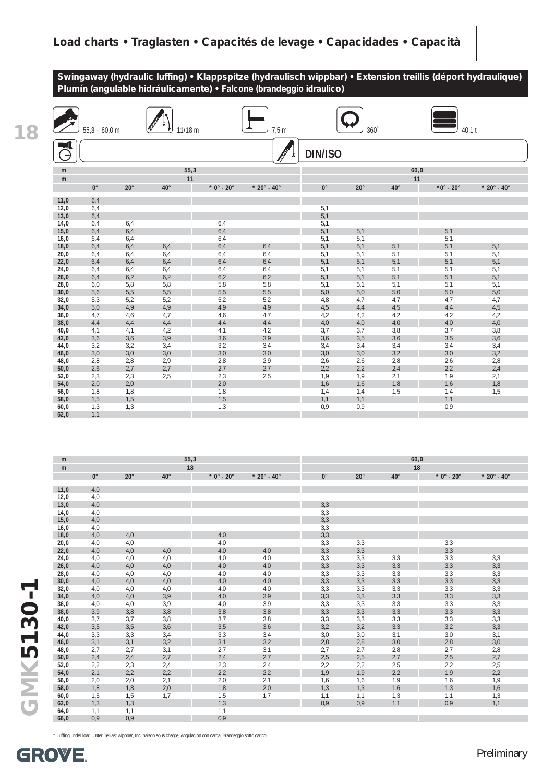

|                | $55,3 - 60,0$ m |              | 11/18 m      |              | 7,5 m                             |                | 360          |              | $40,1$ t                 |                                   |
|----------------|-----------------|--------------|--------------|--------------|-----------------------------------|----------------|--------------|--------------|--------------------------|-----------------------------------|
| $(\rightarrow$ |                 |              |              |              |                                   | <b>DIN/ISO</b> |              |              |                          |                                   |
| m              |                 |              | 55,3         |              |                                   |                |              |              | 60,0                     |                                   |
| m              |                 |              | 11           |              |                                   |                |              |              | 11                       |                                   |
|                | $0^{\circ}$     | $20^{\circ}$ | $40^{\circ}$ | $*$ 0° - 20° | $*$ 20 $^{\circ}$ - 40 $^{\circ}$ | $0^{\circ}$    | $20^{\circ}$ | $40^{\circ}$ | $*0^\circ$ - 20 $^\circ$ | $*$ 20 $^{\circ}$ - 40 $^{\circ}$ |
|                |                 |              |              |              |                                   |                |              |              |                          |                                   |
| 11,0           | 6,4             |              |              |              |                                   |                |              |              |                          |                                   |
| 12,0           | 6,4             |              |              |              |                                   | 5,1            |              |              |                          |                                   |
| 13,0<br>14,0   | 6,4<br>6,4      | 6,4          |              | 6,4          |                                   | 5,1<br>5,1     |              |              |                          |                                   |
| 15,0           | 6,4             | 6,4          |              | 6,4          |                                   | 5,1            | 5,1          |              | 5,1                      |                                   |
| 16,0           | 6,4             | 6,4          |              | 6,4          |                                   | 5,1            | 5,1          |              | 5,1                      |                                   |
| 18,0           | 6,4             | 6,4          | 6,4          | 6,4          | 6,4                               | 5,1            | 5,1          | 5,1          | 5,1                      | 5,1                               |
| 20,0           | 6,4             | 6,4          | 6,4          | 6,4          | 6,4                               | 5,1            | 5,1          | 5,1          | 5,1                      | 5,1                               |
| 22,0           | 6,4             | 6,4          | 6,4          | 6,4          | 6,4                               | 5,1            | 5,1          | 5,1          | 5,1                      | 5,1                               |
| 24,0           | 6,4             | 6,4          | 6,4          | 6,4          | 6,4                               | 5,1            | 5,1          | 5,1          | 5,1                      | 5,1                               |
| 26,0           | 6,4             | 6,2          | 6,2          | 6,2          | 6,2                               | 5,1            | 5,1          | 5,1          | 5,1                      | 5,1                               |
| 28,0           | 6,0             | 5,8          | 5,8          | 5,8          | 5,8                               | 5,1            | 5,1          | 5,1          | 5,1                      | 5,1                               |
| 30,0           | 5,6             | 5,5          | 5,5          | 5,5          | 5,5                               | 5,0            | 5,0          | 5,0          | 5,0                      | 5,0                               |
| 32,0           | 5,3             | 5,2          | 5,2          | 5,2          | 5,2                               | 4,8            | 4,7          | 4,7          | 4,7                      | 4,7                               |
| 34,0           | 5,0             | 4,9          | 4,9          | 4,9          | 4,9                               | 4,5            | 4,4          | 4,5          | 4,4                      | 4,5                               |
| 36,0           | 4,7             | 4,6          | 4,7          | 4,6          | 4,7                               | 4,2            | 4,2          | 4,2          | 4,2                      | 4,2                               |
| 38,0           | 4,4             | 4,4          | 4,4          | 4,4          | 4,4                               | 4,0            | 4,0          | 4,0          | 4,0                      | 4,0                               |
| 40,0           | 4,1             | 4,1          | 4,2          | 4,1          | 4,2                               | 3,7            | 3,7          | 3,8          | 3,7                      | 3,8                               |
| 42,0           | 3,6             | 3,6          | 3,9          | 3,6          | 3,9                               | 3,6            | 3,5          | 3,6          | 3,5                      | 3,6                               |
| 44,0           | 3,2             | 3,2          | 3,4          | 3,2          | 3,4                               | 3,4            | 3,4          | 3,4          | 3,4                      | 3,4                               |
| 46,0           | 3,0             | 3,0          | 3,0          | 3,0          | 3,0                               | 3,0            | 3,0          | 3,2          | 3,0                      | 3,2                               |
| 48,0           | 2,8             | 2,8          | 2,9          | 2,8          | 2,9                               | 2,6            | 2,6          | 2,8          | 2,6                      | 2,8                               |
| 50,0           | 2,6             | 2,7          | 2,7          | 2,7          | 2,7                               | 2,2            | 2,2          | 2,4          | 2,2                      | 2,4                               |
| 52,0           | 2,3             | 2,3          | 2,5          | 2,3          | 2,5                               | 1,9            | 1,9          | 2,1          | 1,9                      | 2,1                               |
| 54,0           | 2,0             | 2,0          |              | 2,0          |                                   | 1,6            | 1,6          | 1,8          | 1,6                      | 1,8                               |
| 56,0           | 1,8             | 1,8          |              | 1,8          |                                   | 1,4            | 1,4          | 1,5          | 1,4                      | 1,5                               |
| 58,0           | 1,5             | 1,5          |              | 1,5          |                                   | 1,1            | 1,1          |              | 1,1                      |                                   |
| 60,0           | 1,3             | 1,3          |              | 1,3          |                                   | 0,9            | 0,9          |              | 0,9                      |                                   |
| 62,0           | 1,1             |              |              |              |                                   |                |              |              |                          |                                   |

| m    |             |              |              | 55,3                   |                             |             |              |              | 60,0         |                                   |
|------|-------------|--------------|--------------|------------------------|-----------------------------|-------------|--------------|--------------|--------------|-----------------------------------|
| m    |             |              |              | 18                     |                             |             |              |              | 18           |                                   |
|      | $0^{\circ}$ | $20^{\circ}$ | $40^{\circ}$ | $* 0^\circ - 20^\circ$ | $* 20^{\circ} - 40^{\circ}$ | $0^{\circ}$ | $20^{\circ}$ | $40^{\circ}$ | $*$ 0° - 20° | $*$ 20 $^{\circ}$ - 40 $^{\circ}$ |
|      |             |              |              |                        |                             |             |              |              |              |                                   |
| 11,0 | 4,0         |              |              |                        |                             |             |              |              |              |                                   |
| 12,0 | 4,0         |              |              |                        |                             |             |              |              |              |                                   |
| 13,0 | 4,0         |              |              |                        |                             | 3,3         |              |              |              |                                   |
| 14,0 | 4,0         |              |              |                        |                             | 3,3         |              |              |              |                                   |
| 15,0 | 4,0         |              |              |                        |                             | 3,3         |              |              |              |                                   |
| 16,0 | 4,0         |              |              |                        |                             | 3,3         |              |              |              |                                   |
| 18,0 | 4,0         | 4,0          |              | 4,0                    |                             | 3,3         |              |              |              |                                   |
| 20,0 | 4,0         | 4,0          |              | 4,0                    |                             | 3,3         | 3,3          |              | 3,3          |                                   |
| 22,0 | 4,0         | 4,0          | 4,0          | 4,0                    | 4,0                         | 3,3         | 3,3          |              | 3,3          |                                   |
| 24,0 | 4,0         | 4,0          | 4,0          | 4,0                    | 4,0                         | 3,3         | 3,3          | 3,3          | 3,3          | 3,3                               |
| 26,0 | 4,0         | 4,0          | 4,0          | 4,0                    | 4,0                         | 3,3         | 3,3          | 3,3          | 3,3          | 3,3                               |
| 28,0 | 4,0         | 4,0          | 4,0          | 4,0                    | 4,0                         | 3,3         | 3,3          | 3,3          | 3,3          | 3,3                               |
| 30,0 | 4,0         | 4,0          | 4,0          | 4,0                    | 4,0                         | 3,3         | 3,3          | 3,3          | 3,3          | 3,3                               |
| 32,0 | 4,0         | 4,0          | 4,0          | 4,0                    | 4,0                         | 3,3         | 3,3          | 3,3          | 3,3          | 3,3                               |
| 34,0 | 4,0         | 4,0          | 3,9          | 4,0                    | 3,9                         | 3,3         | 3,3          | 3,3          | 3,3          | 3,3                               |
| 36,0 | 4,0         | 4,0          | 3,9          | 4,0                    | 3,9                         | 3,3         | 3,3          | 3,3          | 3,3          | 3,3                               |
| 38,0 | 3,9         | 3,8          | 3,8          | 3,8                    | 3,8                         | 3,3         | 3,3          | 3,3          | 3,3          | 3,3                               |
| 40,0 | 3,7         | 3,7          | 3,8          | 3,7                    | 3,8                         | 3,3         | 3,3          | 3,3          | 3,3          | 3,3                               |
| 42,0 | 3,5         | 3,5          | 3,6          | 3,5                    | 3,6                         | 3,2         | 3,2          | 3,3          | 3,2          | 3,3                               |
| 44,0 | 3,3         | 3,3          | 3,4          | 3,3                    | 3,4                         | 3,0         | 3,0          | 3,1          | 3,0          | 3,1                               |
| 46,0 | 3,1         | 3,1          | 3,2          | 3,1                    | 3,2                         | 2,8         | 2,8          | 3,0          | 2,8          | 3,0                               |
| 48,0 | 2,7         | 2,7          | 3,1          | 2,7                    | 3,1                         | 2,7         | 2,7          | 2,8          | 2,7          | 2,8                               |
| 50,0 | 2,4         | 2,4          | 2,7          | 2,4                    | 2,7                         | 2,5         | 2,5          | 2,7          | 2,5          | 2,7                               |
| 52,0 | 2,2         | 2,3          | 2,4          | 2,3                    | 2,4                         | 2,2         | 2,2          | 2,5          | 2,2          | 2,5                               |
| 54,0 | 2,1         | 2,2          | 2,2          | 2,2                    | 2,2                         | 1,9         | 1,9          | 2,2          | 1,9          | 2,2                               |
| 56,0 | 2,0         | 2,0          | 2,1          | 2,0                    | 2,1                         | 1,6         | 1,6          | 1,9          | 1,6          | 1,9                               |
| 58,0 | 1,8         | 1,8          | 2,0          | 1,8                    | 2,0                         | 1,3         | 1,3          | 1,6          | 1,3          | 1,6                               |
| 60,0 | 1,5         | 1,5          | 1,7          | 1,5                    | 1,7                         | 1,1         | 1,1          | 1,3          | 1,1          | 1,3                               |
| 62,0 | 1,3         | 1,3          |              | 1,3                    |                             | 0.9         | 0,9          | 1,1          | 0,9          | 1,1                               |
| 64,0 | 1,1         | 1,1          |              | 1,1                    |                             |             |              |              |              |                                   |
| 66,0 | 0,9         | 0,9          |              | 0,9                    |                             |             |              |              |              |                                   |

\* Luffing under load, Unter Teillast wippbar, Inclinaison sous charge, Angulación con carga, Brandeggio sotto carico

**18**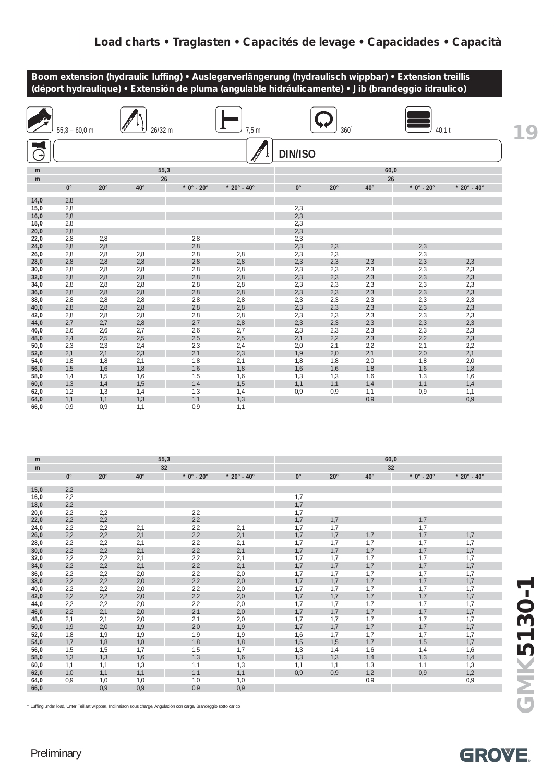

| m            |             |              |              | 55,3         |               |             |              |              | 60,0         |                                   |
|--------------|-------------|--------------|--------------|--------------|---------------|-------------|--------------|--------------|--------------|-----------------------------------|
| m            |             |              |              | 32           |               |             |              |              | 32           |                                   |
|              | $0^{\circ}$ | $20^{\circ}$ | $40^{\circ}$ | $*$ 0° - 20° | $* 20° - 40°$ | $0^{\circ}$ | $20^{\circ}$ | $40^{\circ}$ | $*$ 0° - 20° | $*$ 20 $^{\circ}$ - 40 $^{\circ}$ |
|              |             |              |              |              |               |             |              |              |              |                                   |
| 15,0         | 2,2<br>2,2  |              |              |              |               | 1,7         |              |              |              |                                   |
| 16,0<br>18,0 | 2,2         |              |              |              |               | 1,7         |              |              |              |                                   |
| 20,0         | 2,2         | 2,2          |              | 2,2          |               | 1,7         |              |              |              |                                   |
| 22,0         | 2,2         | 2,2          |              | 2,2          |               | 1,7         | 1,7          |              | 1,7          |                                   |
| 24,0         | 2,2         | 2,2          | 2,1          | 2,2          | 2,1           | 1,7         | 1,7          |              | 1,7          |                                   |
| 26,0         | 2,2         | 2,2          | 2,1          | 2,2          | 2,1           | 1,7         | 1,7          | 1,7          | 1,7          | 1,7                               |
| 28,0         | 2,2         | 2,2          | 2,1          | 2,2          | 2,1           | 1,7         | 1,7          | 1,7          | 1,7          | 1,7                               |
| 30,0         | 2,2         | 2,2          | 2,1          | 2,2          | 2,1           | 1,7         | 1,7          | 1,7          | 1,7          | 1,7                               |
| 32,0         | 2,2         | 2,2          | 2,1          | 2,2          | 2,1           | 1,7         | 1,7          | 1,7          | 1,7          | 1,7                               |
| 34,0         | 2,2         | 2,2          | 2,1          | 2,2          | 2,1           | 1,7         | 1,7          | 1,7          | 1,7          | 1,7                               |
| 36,0         | 2,2         | 2,2          | 2,0          | 2,2          | 2,0           | 1,7         | 1,7          | 1,7          | 1,7          | 1,7                               |
| 38,0         | 2,2         | 2,2          | 2,0          | 2,2          | 2,0           | 1,7         | 1,7          | 1,7          | 1,7          | 1,7                               |
| 40,0         | 2,2         | 2,2          | 2,0          | 2,2          | 2,0           | 1,7         | 1,7          | 1,7          | 1,7          | 1,7                               |
| 42,0         | 2,2         | 2,2          | 2,0          | 2,2          | 2,0           | 1,7         | 1,7          | 1,7          | 1,7          | 1,7                               |
| 44,0         | 2,2         | 2,2          | 2,0          | 2,2          | 2,0           | 1,7         | 1,7          | 1,7          | 1,7          | 1,7                               |
| 46,0         | 2,2         | 2,1          | 2,0          | 2,1          | 2,0           | 1,7         | 1,7          | 1,7          | 1,7          | 1,7                               |
| 48,0         | 2,1         | 2,1          | 2,0          | 2,1          | 2,0           | 1,7         | 1,7          | 1,7          | 1,7          | 1,7                               |
| 50,0         | 1,9         | 2,0          | 1,9          | 2,0          | 1,9           | 1,7         | 1,7          | 1,7          | 1,7          | 1,7                               |
| 52,0         | 1,8         | 1,9          | 1,9          | 1,9          | 1,9           | 1,6         | 1,7          | 1,7          | 1,7          | 1,7                               |
| 54,0         | 1,7         | 1,8          | 1,8          | 1,8          | 1,8           | 1,5         | 1,5          | 1,7          | 1,5          | 1,7                               |
| 56,0         | 1,5         | 1,5          | 1,7          | 1,5          | 1,7           | 1,3         | 1,4          | 1,6          | 1,4          | 1,6                               |
| 58,0         | 1,3         | 1,3          | 1,6          | 1,3          | 1,6           | 1,3         | 1,3          | 1,4          | 1,3          | 1,4                               |
| 60,0         | 1,1         | 1,1          | 1,3          | 1,1          | 1,3           | 1,1         | 1,1          | 1,3          | 1,1          | 1,3                               |
| 62,0         | 1,0         | 1,1          | 1,1          | 1,1          | 1,1           | 0,9         | 0,9          | 1,2          | 0,9          | 1,2                               |
| 64,0         | 0,9         | 1,0          | 1,0          | 1,0          | 1,0           |             |              | 0,9          |              | 0,9                               |
| 66,0         |             | 0,9          | 0,9          | 0,9          | 0,9           |             |              |              |              |                                   |

\* Luffing under load, Unter Teillast wippbar, Inclinaison sous charge, Angulación con carga, Brandeggio sotto carico



#### Preliminary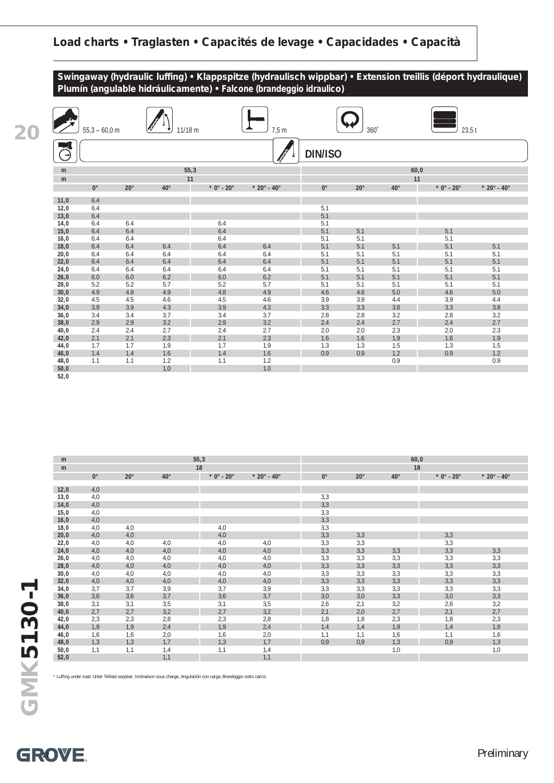

|                          | $55,3 - 60,0$ m |              | 11/18 m      |              | 7,5 m                             |                | 360          |              | 23.5t        |                                   |
|--------------------------|-----------------|--------------|--------------|--------------|-----------------------------------|----------------|--------------|--------------|--------------|-----------------------------------|
| $\epsilon_{\rightarrow}$ |                 |              |              |              |                                   | <b>DIN/ISO</b> |              |              |              |                                   |
| m                        |                 |              | 55,3         |              |                                   |                |              |              | 60,0         |                                   |
| m                        |                 |              | 11           |              |                                   |                |              |              | 11           |                                   |
|                          | $0^{\circ}$     | $20^{\circ}$ | $40^{\circ}$ | $*$ 0° - 20° | $*$ 20 $^{\circ}$ - 40 $^{\circ}$ | $0^{\circ}$    | $20^{\circ}$ | $40^{\circ}$ | $*$ 0° - 20° | $*$ 20 $^{\circ}$ - 40 $^{\circ}$ |
|                          |                 |              |              |              |                                   |                |              |              |              |                                   |
| 11,0<br>12,0             | 6.4<br>6.4      |              |              |              |                                   | 5.1            |              |              |              |                                   |
| 13,0                     | 6.4             |              |              |              |                                   | 5.1            |              |              |              |                                   |
| 14,0                     | 6.4             | 6.4          |              | 6.4          |                                   | 5.1            |              |              |              |                                   |
| 15,0                     | 6.4             | 6.4          |              | 6.4          |                                   | 5.1            | 5.1          |              | 5.1          |                                   |
| 16,0                     | 6.4             | 6.4          |              | 6.4          |                                   | 5.1            | 5.1          |              | 5.1          |                                   |
| 18,0                     | 6.4             | 6.4          | 6.4          | 6.4          | 6.4                               | 5.1            | 5.1          | 5.1          | 5.1          | 5.1                               |
| 20,0                     | 6.4             | 6.4          | 6.4          | 6.4          | 6.4                               | 5.1            | 5.1          | 5.1          | 5.1          | 5.1                               |
| 22,0                     | 6.4             | 6.4          | 6.4          | 6.4          | 6.4                               | 5.1            | 5.1          | 5.1          | 5.1          | 5.1                               |
| 24,0                     | 6.4             | 6.4          | 6.4          | 6.4          | 6.4                               | 5.1            | 5.1          | 5.1          | 5.1          | 5.1                               |
| 26,0                     | 6.0             | 6.0          | 6.2          | 6.0          | 6.2                               | 5.1            | 5.1          | 5.1          | 5.1          | 5.1                               |
| 28,0                     | 5.2             | 5.2          | 5.7          | 5.2          | 5.7                               | 5.1            | 5.1          | 5.1          | 5.1          | 5.1                               |
| 30,0                     | 4.9             | 4.8          | 4.9          | 4.8          | 4.9                               | 4.6            | 4.6          | 5.0          | 4.6          | 5.0                               |
| 32,0                     | 4.5             | 4.5          | 4.6          | 4.5          | 4.6                               | 3.9            | 3.9          | 4.4          | 3.9          | 4.4                               |
| 34,0                     | 3.9             | 3.9          | 4.3          | 3.9          | 4.3                               | 3.3            | 3.3          | 3.8          | 3.3          | 3.8                               |
| 36,0                     | 3.4             | 3.4          | 3.7          | 3.4          | 3.7                               | 2.8            | 2.8          | 3.2          | 2.8          | 3.2                               |
| 38,0                     | 2.9             | 2.9          | 3.2          | 2.9          | 3.2                               | 2.4            | 2.4          | 2.7          | 2.4          | 2.7                               |
| 40,0                     | 2.4             | 2.4          | 2.7          | 2.4          | 2.7                               | 2.0            | 2.0          | 2.3          | 2.0          | 2.3                               |
| 42,0                     | 2.1             | 2.1          | 2.3          | 2.1          | 2.3                               | 1.6            | 1.6          | 1.9          | 1.6          | 1.9                               |
| 44,0                     | 1.7             | 1.7          | 1.9          | 1.7          | 1.9                               | 1.3            | 1.3          | 1.5          | 1.3          | 1.5                               |
| 46,0                     | 1.4             | 1.4          | 1.6          | 1.4          | 1.6                               | 0.9            | 0.9          | 1.2          | 0.9          | 1.2                               |
| 48,0                     | 1.1             | 1.1          | 1.2          | 1.1          | 1.2<br>1.0                        |                |              | 0.9          |              | 0.9                               |
| 50,0<br>52,0             |                 |              | 1,0          |              |                                   |                |              |              |              |                                   |

| m    |             |              |              | 55,3         |                                   | 60,0        |              |              |              |                                   |  |
|------|-------------|--------------|--------------|--------------|-----------------------------------|-------------|--------------|--------------|--------------|-----------------------------------|--|
| m    |             |              |              | 18           |                                   |             |              |              | 18           |                                   |  |
|      | $0^{\circ}$ | $20^{\circ}$ | $40^{\circ}$ | $*$ 0° - 20° | $*$ 20 $^{\circ}$ - 40 $^{\circ}$ | $0^{\circ}$ | $20^{\circ}$ | $40^{\circ}$ | $*$ 0° - 20° | $*$ 20 $^{\circ}$ - 40 $^{\circ}$ |  |
|      |             |              |              |              |                                   |             |              |              |              |                                   |  |
| 12,0 | 4,0         |              |              |              |                                   |             |              |              |              |                                   |  |
| 13,0 | 4,0         |              |              |              |                                   | 3,3         |              |              |              |                                   |  |
| 14,0 | 4,0         |              |              |              |                                   | 3,3         |              |              |              |                                   |  |
| 15,0 | 4,0         |              |              |              |                                   | 3,3         |              |              |              |                                   |  |
| 16,0 | 4,0         |              |              |              |                                   | 3,3         |              |              |              |                                   |  |
| 18,0 | 4,0         | 4,0          |              | 4,0          |                                   | 3,3         |              |              |              |                                   |  |
| 20,0 | 4,0         | 4,0          |              | 4,0          |                                   | 3,3         | 3,3          |              | 3,3          |                                   |  |
| 22,0 | 4,0         | 4,0          | 4,0          | 4,0          | 4,0                               | 3,3         | 3,3          |              | 3,3          |                                   |  |
| 24,0 | 4,0         | 4,0          | 4,0          | 4,0          | 4,0                               | 3,3         | 3,3          | 3,3          | 3,3          | 3,3                               |  |
| 26,0 | 4,0         | 4,0          | 4,0          | 4,0          | 4,0                               | 3,3         | 3,3          | 3,3          | 3,3          | 3,3                               |  |
| 28,0 | 4,0         | 4,0          | 4,0          | 4,0          | 4,0                               | 3,3         | 3,3          | 3,3          | 3,3          | 3,3                               |  |
| 30,0 | 4,0         | 4,0          | 4,0          | 4,0          | 4,0                               | 3,3         | 3,3          | 3,3          | 3,3          | 3,3                               |  |
| 32,0 | 4,0         | 4,0          | 4,0          | 4,0          | 4,0                               | 3,3         | 3,3          | 3,3          | 3,3          | 3,3                               |  |
| 34,0 | 3,7         | 3,7          | 3,9          | 3,7          | 3,9                               | 3,3         | 3,3          | 3,3          | 3,3          | 3,3                               |  |
| 36,0 | 3,6         | 3,6          | 3,7          | 3,6          | 3,7                               | 3,0         | 3,0          | 3,3          | 3,0          | 3,3                               |  |
| 38,0 | 3,1         | 3,1          | 3,5          | 3,1          | 3,5                               | 2,6         | 2,1          | 3,2          | 2,6          | 3,2                               |  |
| 40,0 | 2,7         | 2,7          | 3,2          | 2,7          | 3,2                               | 2,1         | 2,0          | 2,7          | 2,1          | 2,7                               |  |
| 42,0 | 2,3         | 2,3          | 2,8          | 2,3          | 2,8                               | 1,8         | 1,8          | 2,3          | 1,8          | 2,3                               |  |
| 44,0 | 1,9         | 1,9          | 2,4          | 1,9          | 2,4                               | 1,4         | 1,4          | 1,9          | 1,4          | 1,9                               |  |
| 46,0 | 1,6         | 1,6          | 2,0          | 1,6          | 2,0                               | 1,1         | 1,1          | 1,6          | 1,1          | 1,6                               |  |
| 48,0 | 1,3         | 1,3          | 1,7          | 1,3          | 1,7                               | 0,9         | 0,9          | 1,3          | 0,9          | 1,3                               |  |
| 50,0 | 1,1         | 1,1          | 1,4          | 1,1          | 1,4                               |             |              | 1,0          |              | 1,0                               |  |
| 52,0 |             |              | 1,1          |              | 1,1                               |             |              |              |              |                                   |  |

\* Luffing under load, Unter Teillast wippbar, Inclinaison sous charge, Angulación con carga, Brandeggio sotto carico

**GMK5130-1 GMK5130-1**

**GROVE.**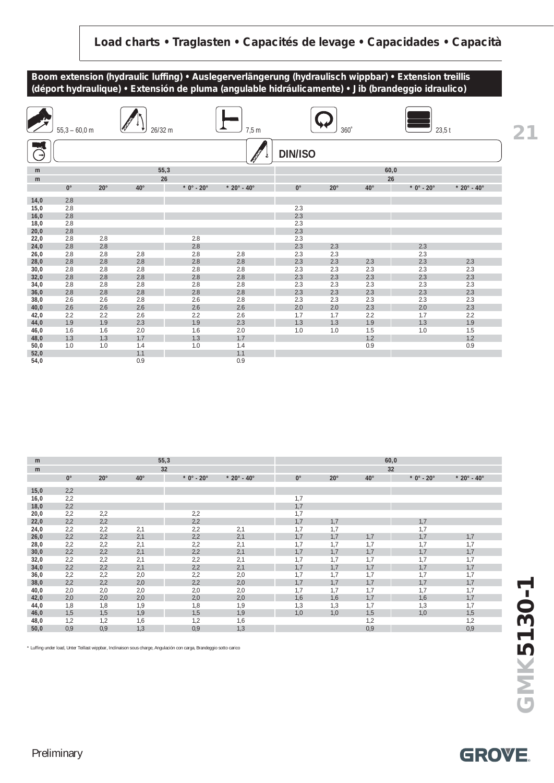

| <b>Altres</b> | $55,3 - 60,0$ m |              | 26/32 m      |              | 7,5m                              |                | $360^\circ$  |              | $23,5$ t     |                                   |
|---------------|-----------------|--------------|--------------|--------------|-----------------------------------|----------------|--------------|--------------|--------------|-----------------------------------|
| $\rightarrow$ |                 |              |              |              |                                   | <b>DIN/ISO</b> |              |              |              |                                   |
| m             |                 |              | 55,3         |              |                                   |                |              |              | 60,0         |                                   |
| m             |                 |              | 26           |              |                                   |                |              |              | 26           |                                   |
|               | $0^{\circ}$     | $20^{\circ}$ | $40^{\circ}$ | $*$ 0° - 20° | $*$ 20 $^{\circ}$ - 40 $^{\circ}$ | $0^{\circ}$    | $20^{\circ}$ | $40^{\circ}$ | $*$ 0° - 20° | $*$ 20 $^{\circ}$ - 40 $^{\circ}$ |
| 14,0          | 2.8             |              |              |              |                                   |                |              |              |              |                                   |
| 15,0          | 2.8             |              |              |              |                                   | 2.3            |              |              |              |                                   |
| 16,0          | 2.8             |              |              |              |                                   | 2.3            |              |              |              |                                   |
| 18,0          | 2.8             |              |              |              |                                   | 2.3            |              |              |              |                                   |
| 20,0          | 2.8             |              |              |              |                                   | 2.3            |              |              |              |                                   |
| 22,0          | 2.8             | 2.8          |              | 2.8          |                                   | 2.3            |              |              |              |                                   |
| 24,0          | 2.8             | 2.8          |              | 2.8          |                                   | 2.3            | 2.3          |              | 2.3          |                                   |
| 26,0          | 2.8             | 2.8          | 2.8          | 2.8          | 2.8                               | 2.3            | 2.3          |              | 2.3          |                                   |
| 28,0          | 2.8             | 2.8          | 2.8          | 2.8          | 2.8                               | 2.3            | 2.3          | 2.3          | 2.3          | 2.3                               |
| 30,0          | 2.8             | 2.8          | 2.8          | 2.8          | 2.8                               | 2.3            | 2.3          | 2.3          | 2.3          | 2.3                               |
| 32,0          | 2.8             | 2.8          | 2.8          | 2.8          | 2.8                               | 2.3            | 2.3          | 2.3          | 2.3          | 2.3                               |
| 34,0          | 2.8<br>2.8      | 2.8<br>2.8   | 2.8<br>2.8   | 2.8<br>2.8   | 2.8<br>2.8                        | 2.3<br>2.3     | 2.3<br>2.3   | 2.3<br>2.3   | 2.3<br>2.3   | 2.3<br>2.3                        |
| 36,0<br>38,0  | 2.6             | 2.6          | 2.8          | 2.6          | 2.8                               | 2.3            | 2.3          | 2.3          | 2.3          | 2.3                               |
| 40,0          | 2.6             | 2.6          | 2.6          | 2.6          | 2.6                               | 2.0            | 2.0          | 2.3          | 2.0          | 2.3                               |
| 42,0          | 2.2             | 2.2          | 2.6          | 2.2          | 2.6                               | 1.7            | 1.7          | 2.2          | 1.7          | 2.2                               |
| 44,0          | 1.9             | 1.9          | 2.3          | 1.9          | 2.3                               | 1.3            | 1.3          | 1.9          | 1.3          | 1.9                               |
| 46,0          | 1.6             | 1.6          | 2.0          | 1.6          | 2.0                               | 1.0            | 1.0          | 1.5          | 1.0          | 1.5                               |
| 48,0          | 1.3             | 1.3          | 1.7          | 1.3          | 1.7                               |                |              | 1.2          |              | 1.2                               |
| 50,0          | 1.0             | 1.0          | 1.4          | 1.0          | 1.4                               |                |              | 0.9          |              | 0.9                               |
| 52,0          |                 |              | 1.1          |              | 1.1                               |                |              |              |              |                                   |
| 54,0          |                 |              | 0.9          |              | 0.9                               |                |              |              |              |                                   |

| m    |             |            |              | 55,3         |                                   |             |              |              | 60,0                             |                                   |
|------|-------------|------------|--------------|--------------|-----------------------------------|-------------|--------------|--------------|----------------------------------|-----------------------------------|
| m    |             |            |              | 32           |                                   |             |              |              | 32                               |                                   |
|      | $0^{\circ}$ | $20^\circ$ | $40^{\circ}$ | $*$ 0° - 20° | $*$ 20 $^{\circ}$ - 40 $^{\circ}$ | $0^{\circ}$ | $20^{\circ}$ | $40^{\circ}$ | $*$ 0 $^{\circ}$ - 20 $^{\circ}$ | $*$ 20 $^{\circ}$ - 40 $^{\circ}$ |
|      |             |            |              |              |                                   |             |              |              |                                  |                                   |
| 15,0 | 2,2         |            |              |              |                                   |             |              |              |                                  |                                   |
| 16,0 | 2,2         |            |              |              |                                   | 1,7         |              |              |                                  |                                   |
| 18,0 | 2,2         |            |              |              |                                   | 1,7         |              |              |                                  |                                   |
| 20,0 | 2,2         | 2,2        |              | 2,2          |                                   | 1.7         |              |              |                                  |                                   |
| 22,0 | 2,2         | 2,2        |              | 2,2          |                                   | 1,7         | 1,7          |              | 1,7                              |                                   |
| 24,0 | 2,2         | 2,2        | 2,1          | 2,2          | 2,1                               | 1.7         | 1,7          |              | 1,7                              |                                   |
| 26,0 | 2,2         | 2,2        | 2,1          | 2,2          | 2,1                               | 1,7         | 1,7          | 1,7          | 1,7                              | 1,7                               |
| 28,0 | 2,2         | 2,2        | 2,1          | 2,2          | 2,1                               | 1,7         | 1,7          | 1,7          | 1,7                              | 1,7                               |
| 30,0 | 2,2         | 2,2        | 2,1          | 2,2          | 2,1                               | 1,7         | 1,7          | 1,7          | 1,7                              | 1,7                               |
| 32,0 | 2,2         | 2,2        | 2,1          | 2,2          | 2,1                               | 1,7         | 1,7          | 1,7          | 1,7                              | 1,7                               |
| 34,0 | 2,2         | 2,2        | 2,1          | 2,2          | 2,1                               | 1,7         | 1,7          | 1,7          | 1,7                              | 1,7                               |
| 36,0 | 2,2         | 2,2        | 2,0          | 2,2          | 2,0                               | 1,7         | 1,7          | 1,7          | 1,7                              | 1,7                               |
| 38,0 | 2,2         | 2,2        | 2,0          | 2,2          | 2,0                               | 1,7         | 1,7          | 1,7          | 1,7                              | 1,7                               |
| 40,0 | 2,0         | 2,0        | 2,0          | 2,0          | 2,0                               | 1,7         | 1,7          | 1,7          | 1,7                              | 1,7                               |
| 42,0 | 2,0         | 2,0        | 2,0          | 2,0          | 2,0                               | 1,6         | 1,6          | 1,7          | 1,6                              | 1,7                               |
| 44,0 | 1,8         | 1,8        | 1,9          | 1,8          | 1,9                               | 1,3         | 1,3          | 1,7          | 1,3                              | 1,7                               |
| 46,0 | 1,5         | 1,5        | 1,9          | 1,5          | 1,9                               | 1,0         | 1,0          | 1,5          | 1,0                              | 1,5                               |
| 48,0 | 1,2         | 1,2        | 1,6          | 1,2          | 1,6                               |             |              | 1,2          |                                  | 1,2                               |
| 50,0 | 0,9         | 0,9        | 1,3          | 0,9          | 1,3                               |             |              | 0,9          |                                  | 0,9                               |

\* Luffing under load, Unter Teillast wippbar, Inclinaison sous charge, Angulación con carga, Brandeggio sotto carico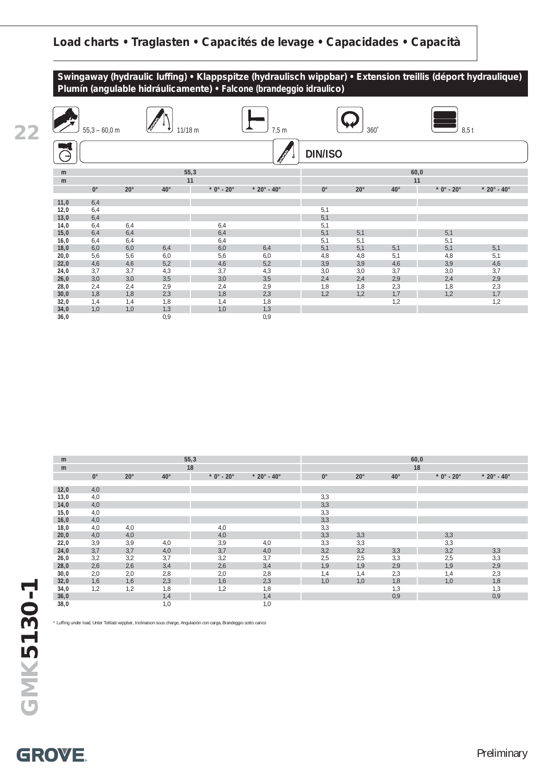



| m    |             |              |              | 55,3         |                                   |             |              |              | 60,0         |                                   |
|------|-------------|--------------|--------------|--------------|-----------------------------------|-------------|--------------|--------------|--------------|-----------------------------------|
| m    |             |              |              | 18           |                                   |             |              |              | 18           |                                   |
|      | $0^{\circ}$ | $20^{\circ}$ | $40^{\circ}$ | $*$ 0° - 20° | $*$ 20 $^{\circ}$ - 40 $^{\circ}$ | $0^{\circ}$ | $20^{\circ}$ | $40^{\circ}$ | $*$ 0° - 20° | $*$ 20 $^{\circ}$ - 40 $^{\circ}$ |
| 12,0 | 4,0         |              |              |              |                                   |             |              |              |              |                                   |
| 13,0 | 4,0         |              |              |              |                                   | 3,3         |              |              |              |                                   |
| 14,0 | 4,0         |              |              |              |                                   | 3,3         |              |              |              |                                   |
| 15,0 | 4,0         |              |              |              |                                   | 3,3         |              |              |              |                                   |
| 16,0 | 4,0         |              |              |              |                                   | 3,3         |              |              |              |                                   |
| 18,0 | 4,0         | 4,0          |              | 4,0          |                                   | 3,3         |              |              |              |                                   |
| 20,0 | 4,0         | 4,0          |              | 4,0          |                                   | 3,3         | 3,3          |              | 3,3          |                                   |
| 22,0 | 3,9         | 3,9          | 4,0          | 3,9          | 4,0                               | 3,3         | 3,3          |              | 3,3          |                                   |
| 24,0 | 3,7         | 3,7          | 4,0          | 3,7          | 4,0                               | 3,2         | 3,2          | 3,3          | 3,2          | 3,3                               |
| 26,0 | 3,2         | 3,2          | 3,7          | 3,2          | 3,7                               | 2,5         | 2,5          | 3,3          | 2,5          | 3,3                               |
| 28,0 | 2,6         | 2,6          | 3,4          | 2,6          | 3,4                               | 1,9         | 1,9          | 2,9          | 1,9          | 2,9                               |
| 30,0 | 2,0         | 2,0          | 2,8          | 2,0          | 2,8                               | 1,4         | 1,4          | 2,3          | 1,4          | 2,3                               |
| 32,0 | 1,6         | 1,6          | 2,3          | 1,6          | 2,3                               | 1,0         | 1,0          | 1,8          | 1,0          | 1,8                               |
| 34,0 | 1,2         | 1,2          | 1,8          | 1,2          | 1,8                               |             |              | 1,3          |              | 1,3                               |
| 36,0 |             |              | 1,4          |              | 1,4                               |             |              | 0,9          |              | 0,9                               |
| 38,0 |             |              | 1,0          |              | 1,0                               |             |              |              |              |                                   |

\* Luffing under load, Unter Teillast wippbar, Inclinaison sous charge, Angulación con carga, Brandeggio sotto carico

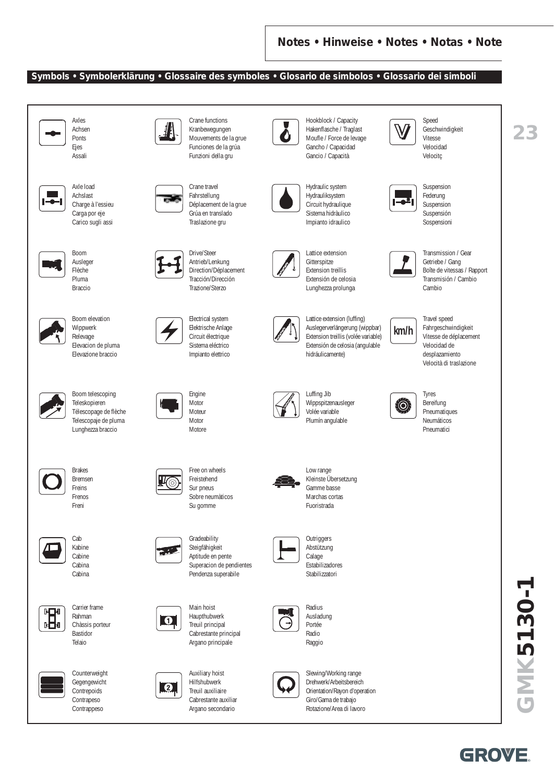#### **Symbols • Symbolerklärung • Glossaire des symboles • Glosario de simbolos • Glossario dei simboli**